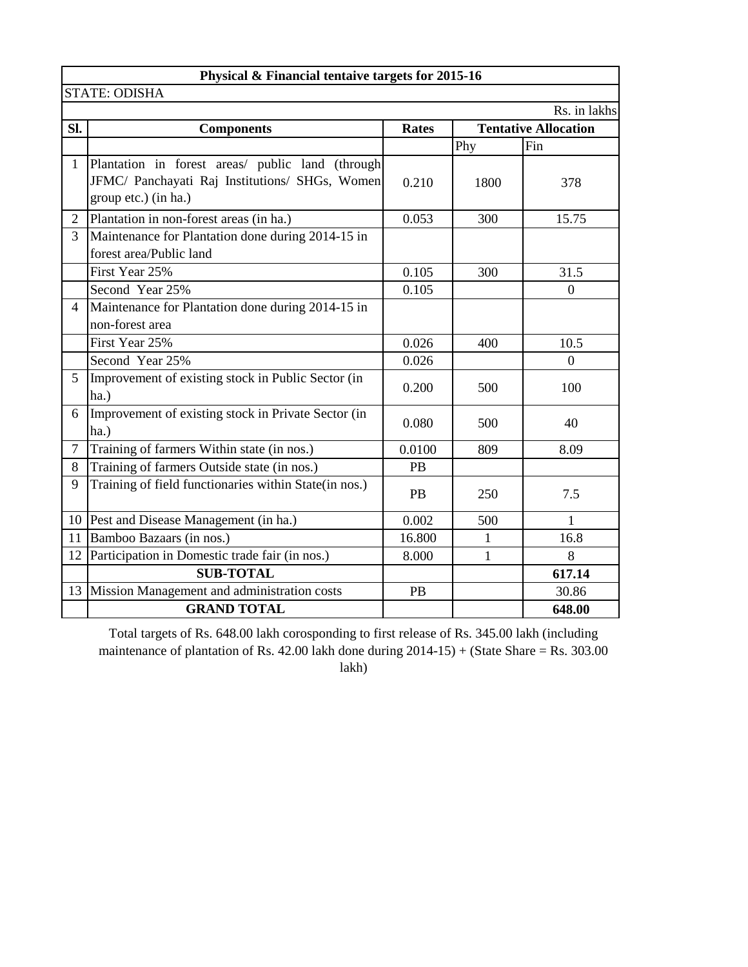|                | Physical & Financial tentaive targets for 2015-16                                                                          |              |                |                             |  |  |  |  |  |  |
|----------------|----------------------------------------------------------------------------------------------------------------------------|--------------|----------------|-----------------------------|--|--|--|--|--|--|
|                | <b>STATE: ODISHA</b>                                                                                                       |              |                |                             |  |  |  |  |  |  |
|                |                                                                                                                            |              |                | Rs. in lakhs                |  |  |  |  |  |  |
| Sl.            | <b>Components</b>                                                                                                          | <b>Rates</b> |                | <b>Tentative Allocation</b> |  |  |  |  |  |  |
|                |                                                                                                                            |              | Phy            | Fin                         |  |  |  |  |  |  |
| $\mathbf{1}$   | Plantation in forest areas/ public land (through<br>JFMC/ Panchayati Raj Institutions/ SHGs, Women<br>group etc.) (in ha.) | 0.210        | 1800           | 378                         |  |  |  |  |  |  |
| 2              | Plantation in non-forest areas (in ha.)                                                                                    | 0.053        | 300            | 15.75                       |  |  |  |  |  |  |
| 3              | Maintenance for Plantation done during 2014-15 in<br>forest area/Public land                                               |              |                |                             |  |  |  |  |  |  |
|                | First Year 25%                                                                                                             | 0.105        | 300            | 31.5                        |  |  |  |  |  |  |
|                | Second Year 25%                                                                                                            | 0.105        |                | $\boldsymbol{0}$            |  |  |  |  |  |  |
| $\overline{4}$ | Maintenance for Plantation done during 2014-15 in                                                                          |              |                |                             |  |  |  |  |  |  |
|                | non-forest area                                                                                                            |              |                |                             |  |  |  |  |  |  |
|                | First Year 25%                                                                                                             | 0.026        | 400            | 10.5                        |  |  |  |  |  |  |
|                | Second Year 25%                                                                                                            | 0.026        |                | $\boldsymbol{0}$            |  |  |  |  |  |  |
| 5              | Improvement of existing stock in Public Sector (in<br>ha.)                                                                 | 0.200        | 500            | 100                         |  |  |  |  |  |  |
| 6              | Improvement of existing stock in Private Sector (in<br>ha.)                                                                | 0.080        | 500            | 40                          |  |  |  |  |  |  |
| $\overline{7}$ | Training of farmers Within state (in nos.)                                                                                 | 0.0100       | 809            | 8.09                        |  |  |  |  |  |  |
| 8              | Training of farmers Outside state (in nos.)                                                                                | PB           |                |                             |  |  |  |  |  |  |
| 9              | Training of field functionaries within State(in nos.)                                                                      | PB           | 250            | 7.5                         |  |  |  |  |  |  |
|                | 10 Pest and Disease Management (in ha.)                                                                                    | 0.002        | 500            | 1                           |  |  |  |  |  |  |
|                | 11 Bamboo Bazaars (in nos.)                                                                                                | 16.800       | $\mathbf{1}$   | 16.8                        |  |  |  |  |  |  |
| 12             | Participation in Domestic trade fair (in nos.)                                                                             | 8.000        | $\overline{1}$ | 8                           |  |  |  |  |  |  |
|                | <b>SUB-TOTAL</b>                                                                                                           |              |                | 617.14                      |  |  |  |  |  |  |
|                | 13 Mission Management and administration costs                                                                             | PB           |                | 30.86                       |  |  |  |  |  |  |
|                | <b>GRAND TOTAL</b>                                                                                                         |              |                | 648.00                      |  |  |  |  |  |  |

Total targets of Rs. 648.00 lakh corosponding to first release of Rs. 345.00 lakh (including maintenance of plantation of Rs. 42.00 lakh done during 2014-15) + (State Share = Rs. 303.00 lakh)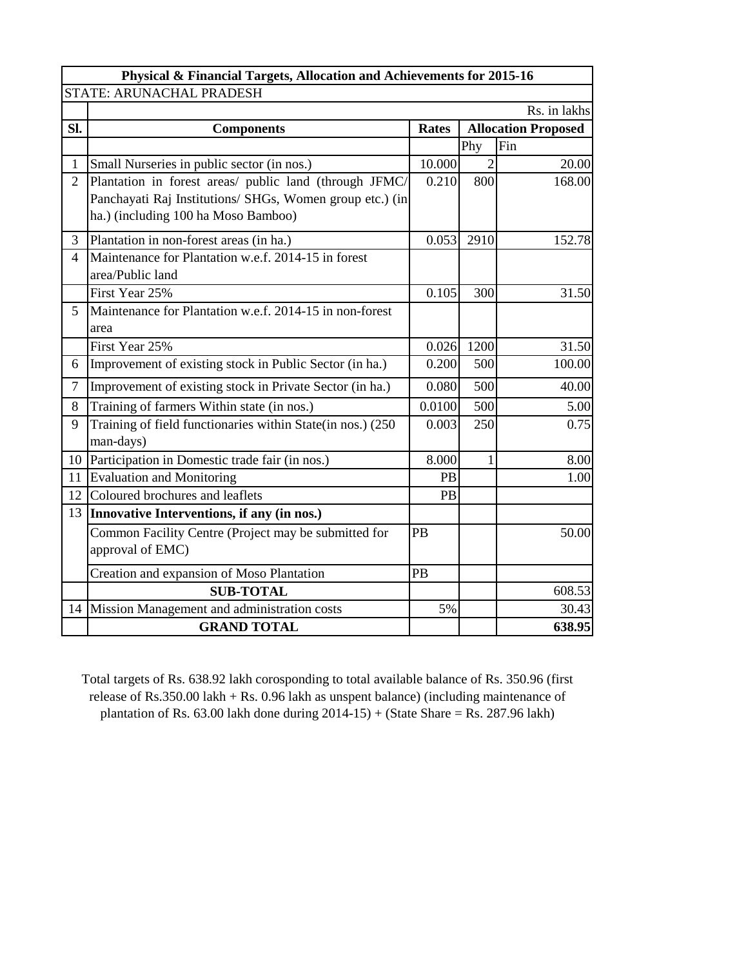|                | Physical & Financial Targets, Allocation and Achievements for 2015-16                                                                                     |              |                |                            |  |  |  |  |  |  |  |  |
|----------------|-----------------------------------------------------------------------------------------------------------------------------------------------------------|--------------|----------------|----------------------------|--|--|--|--|--|--|--|--|
|                | STATE: ARUNACHAL PRADESH                                                                                                                                  |              |                |                            |  |  |  |  |  |  |  |  |
|                |                                                                                                                                                           |              |                | Rs. in lakhs               |  |  |  |  |  |  |  |  |
| Sl.            | <b>Components</b>                                                                                                                                         | <b>Rates</b> |                | <b>Allocation Proposed</b> |  |  |  |  |  |  |  |  |
|                |                                                                                                                                                           |              | Phy            | Fin                        |  |  |  |  |  |  |  |  |
| $\mathbf{1}$   | Small Nurseries in public sector (in nos.)                                                                                                                | 10.000       | $\overline{2}$ | 20.00                      |  |  |  |  |  |  |  |  |
| $\overline{2}$ | Plantation in forest areas/ public land (through JFMC/<br>Panchayati Raj Institutions/ SHGs, Women group etc.) (in<br>ha.) (including 100 ha Moso Bamboo) | 0.210        | 800            | 168.00                     |  |  |  |  |  |  |  |  |
| 3              | Plantation in non-forest areas (in ha.)                                                                                                                   | 0.053        | 2910           | 152.78                     |  |  |  |  |  |  |  |  |
| $\overline{4}$ | Maintenance for Plantation w.e.f. 2014-15 in forest<br>area/Public land                                                                                   |              |                |                            |  |  |  |  |  |  |  |  |
|                | First Year 25%                                                                                                                                            | 0.105        | 300            | 31.50                      |  |  |  |  |  |  |  |  |
| 5 <sup>1</sup> | Maintenance for Plantation w.e.f. 2014-15 in non-forest<br>area                                                                                           |              |                |                            |  |  |  |  |  |  |  |  |
|                | First Year 25%                                                                                                                                            | 0.026        | 1200           | 31.50                      |  |  |  |  |  |  |  |  |
| 6              | Improvement of existing stock in Public Sector (in ha.)                                                                                                   | 0.200        | 500            | 100.00                     |  |  |  |  |  |  |  |  |
| $\tau$         | Improvement of existing stock in Private Sector (in ha.)                                                                                                  | 0.080        | 500            | 40.00                      |  |  |  |  |  |  |  |  |
| 8              | Training of farmers Within state (in nos.)                                                                                                                | 0.0100       | 500            | 5.00                       |  |  |  |  |  |  |  |  |
| 9              | Training of field functionaries within State(in nos.) (250<br>man-days)                                                                                   | 0.003        | 250            | 0.75                       |  |  |  |  |  |  |  |  |
| 10             | Participation in Domestic trade fair (in nos.)                                                                                                            | 8.000        | 1              | 8.00                       |  |  |  |  |  |  |  |  |
| 11             | <b>Evaluation and Monitoring</b>                                                                                                                          | PB           |                | 1.00                       |  |  |  |  |  |  |  |  |
| 12             | Coloured brochures and leaflets                                                                                                                           | <b>PB</b>    |                |                            |  |  |  |  |  |  |  |  |
| 13             | Innovative Interventions, if any (in nos.)                                                                                                                |              |                |                            |  |  |  |  |  |  |  |  |
|                | Common Facility Centre (Project may be submitted for<br>approval of EMC)                                                                                  | PB           |                | 50.00                      |  |  |  |  |  |  |  |  |
|                | Creation and expansion of Moso Plantation                                                                                                                 | PB           |                |                            |  |  |  |  |  |  |  |  |
|                | <b>SUB-TOTAL</b>                                                                                                                                          |              |                | 608.53                     |  |  |  |  |  |  |  |  |
| 14             | Mission Management and administration costs                                                                                                               | 5%           |                | 30.43                      |  |  |  |  |  |  |  |  |
|                | <b>GRAND TOTAL</b>                                                                                                                                        |              |                | 638.95                     |  |  |  |  |  |  |  |  |

Total targets of Rs. 638.92 lakh corosponding to total available balance of Rs. 350.96 (first release of Rs.350.00 lakh + Rs. 0.96 lakh as unspent balance) (including maintenance of plantation of Rs. 63.00 lakh done during  $2014-15$ ) + (State Share = Rs. 287.96 lakh)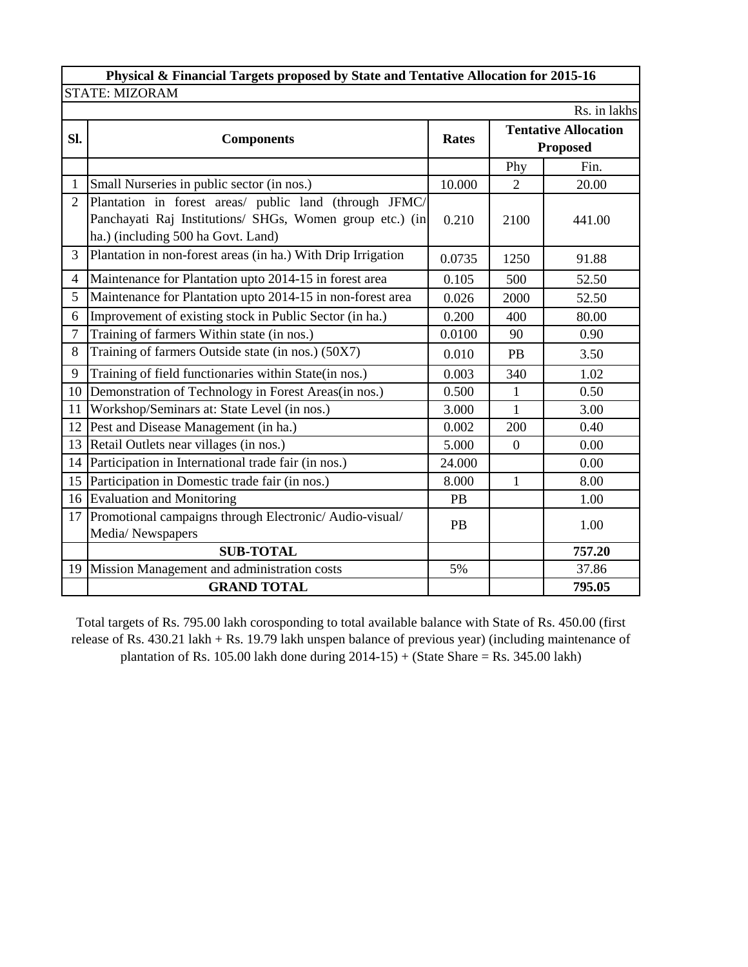|                | Physical & Financial Targets proposed by State and Tentative Allocation for 2015-16 |              |                |                             |  |
|----------------|-------------------------------------------------------------------------------------|--------------|----------------|-----------------------------|--|
|                | <b>STATE: MIZORAM</b>                                                               |              |                |                             |  |
|                |                                                                                     |              |                | Rs. in lakhs                |  |
| Sl.            | <b>Components</b>                                                                   | <b>Rates</b> |                | <b>Tentative Allocation</b> |  |
|                |                                                                                     |              |                | <b>Proposed</b>             |  |
|                |                                                                                     |              | Phy            | Fin.                        |  |
| $\mathbf{1}$   | Small Nurseries in public sector (in nos.)                                          | 10.000       | $\overline{2}$ | 20.00                       |  |
| $\overline{2}$ | Plantation in forest areas/ public land (through JFMC/                              |              |                |                             |  |
|                | Panchayati Raj Institutions/ SHGs, Women group etc.) (in                            | 0.210        | 2100           | 441.00                      |  |
|                | ha.) (including 500 ha Govt. Land)                                                  |              |                |                             |  |
| 3              | Plantation in non-forest areas (in ha.) With Drip Irrigation                        | 0.0735       | 1250           | 91.88                       |  |
| $\overline{4}$ | Maintenance for Plantation upto 2014-15 in forest area                              | 0.105        | 500            | 52.50                       |  |
| 5              | Maintenance for Plantation upto 2014-15 in non-forest area                          | 0.026        | 2000           | 52.50                       |  |
| 6              | Improvement of existing stock in Public Sector (in ha.)                             | 0.200        | 400            | 80.00                       |  |
| $\tau$         | Training of farmers Within state (in nos.)                                          | 0.0100       | 90             | 0.90                        |  |
| 8              | Training of farmers Outside state (in nos.) (50X7)                                  | 0.010        | PB             | 3.50                        |  |
| 9              | Training of field functionaries within State(in nos.)                               | 0.003        | 340            | 1.02                        |  |
| 10             | Demonstration of Technology in Forest Areas(in nos.)                                | 0.500        | $\mathbf{1}$   | 0.50                        |  |
| 11             | Workshop/Seminars at: State Level (in nos.)                                         | 3.000        | 1              | 3.00                        |  |
| 12             | Pest and Disease Management (in ha.)                                                | 0.002        | 200            | 0.40                        |  |
| 13             | Retail Outlets near villages (in nos.)                                              | 5.000        | $\theta$       | 0.00                        |  |
| 14             | Participation in International trade fair (in nos.)                                 | 24.000       |                | 0.00                        |  |
|                | 15 Participation in Domestic trade fair (in nos.)                                   | 8.000        | $\mathbf{1}$   | 8.00                        |  |
|                | 16 Evaluation and Monitoring                                                        | <b>PB</b>    |                | 1.00                        |  |
|                | 17 Promotional campaigns through Electronic/Audio-visual/                           | <b>PB</b>    |                | 1.00                        |  |
|                | Media/Newspapers                                                                    |              |                |                             |  |
|                | <b>SUB-TOTAL</b>                                                                    |              |                | 757.20                      |  |
| 19             | Mission Management and administration costs                                         | 5%           |                | 37.86                       |  |
|                | <b>GRAND TOTAL</b>                                                                  |              |                | 795.05                      |  |

Total targets of Rs. 795.00 lakh corosponding to total available balance with State of Rs. 450.00 (first release of Rs. 430.21 lakh + Rs. 19.79 lakh unspen balance of previous year) (including maintenance of plantation of Rs. 105.00 lakh done during 2014-15) + (State Share = Rs. 345.00 lakh)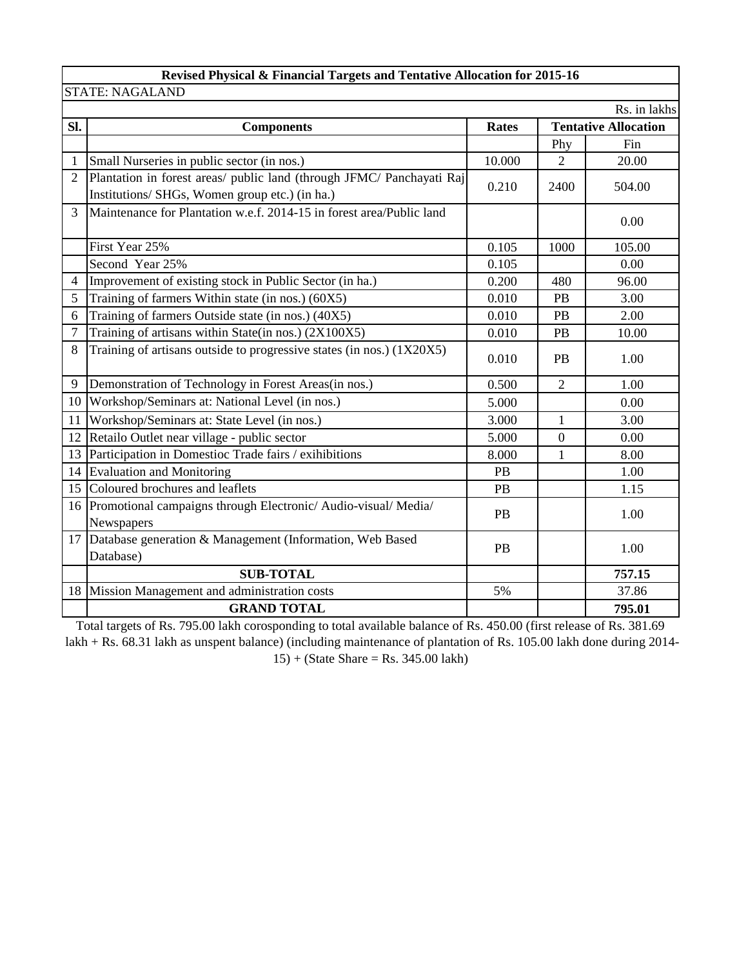## **Revised Physical & Financial Targets and Tentative Allocation for 2015-16**

|                 | <b>STATE: NAGALAND</b>                                                                                                  |           |                  |                             |
|-----------------|-------------------------------------------------------------------------------------------------------------------------|-----------|------------------|-----------------------------|
|                 |                                                                                                                         |           |                  | Rs. in lakhs                |
| Sl.             | <b>Components</b>                                                                                                       | Rates     |                  | <b>Tentative Allocation</b> |
|                 |                                                                                                                         |           | Phy              | Fin                         |
| 1               | Small Nurseries in public sector (in nos.)                                                                              | 10.000    | $\overline{2}$   | 20.00                       |
| $\overline{2}$  | Plantation in forest areas/ public land (through JFMC/ Panchayati Raj<br>Institutions/ SHGs, Women group etc.) (in ha.) | 0.210     | 2400             | 504.00                      |
| 3               | Maintenance for Plantation w.e.f. 2014-15 in forest area/Public land                                                    |           |                  | 0.00                        |
|                 | First Year 25%                                                                                                          | 0.105     | 1000             | 105.00                      |
|                 | Second Year 25%                                                                                                         | 0.105     |                  | 0.00                        |
| 4               | Improvement of existing stock in Public Sector (in ha.)                                                                 | 0.200     | 480              | 96.00                       |
| 5               | Training of farmers Within state (in nos.) (60X5)                                                                       | 0.010     | PB               | 3.00                        |
| 6               | Training of farmers Outside state (in nos.) (40X5)                                                                      | 0.010     | PB               | 2.00                        |
| $\overline{7}$  | Training of artisans within State(in nos.) (2X100X5)                                                                    | 0.010     | PB               | 10.00                       |
| 8               | Training of artisans outside to progressive states (in nos.) (1X20X5)                                                   | 0.010     | <b>PB</b>        | 1.00                        |
| 9               | Demonstration of Technology in Forest Areas(in nos.)                                                                    | 0.500     | $\overline{2}$   | 1.00                        |
| 10 <sup>1</sup> | Workshop/Seminars at: National Level (in nos.)                                                                          | 5.000     |                  | 0.00                        |
| 11              | Workshop/Seminars at: State Level (in nos.)                                                                             | 3.000     | $\mathbf{1}$     | 3.00                        |
| 12              | Retailo Outlet near village - public sector                                                                             | 5.000     | $\boldsymbol{0}$ | 0.00                        |
|                 | 13 Participation in Domestioc Trade fairs / exihibitions                                                                | 8.000     | $\mathbf{1}$     | 8.00                        |
| 14              | <b>Evaluation and Monitoring</b>                                                                                        | PB        |                  | 1.00                        |
|                 | 15 Coloured brochures and leaflets                                                                                      | PB        |                  | 1.15                        |
|                 | 16 Promotional campaigns through Electronic/Audio-visual/Media/<br>Newspapers                                           | <b>PB</b> |                  | 1.00                        |
|                 | 17 Database generation & Management (Information, Web Based<br>Database)                                                | <b>PB</b> |                  | 1.00                        |
|                 | <b>SUB-TOTAL</b>                                                                                                        |           |                  | 757.15                      |
| 18              | Mission Management and administration costs                                                                             | 5%        |                  | 37.86                       |
|                 | <b>GRAND TOTAL</b>                                                                                                      |           |                  | 795.01                      |

Total targets of Rs. 795.00 lakh corosponding to total available balance of Rs. 450.00 (first release of Rs. 381.69 lakh + Rs. 68.31 lakh as unspent balance) (including maintenance of plantation of Rs. 105.00 lakh done during 2014- 15) + (State Share = Rs. 345.00 lakh)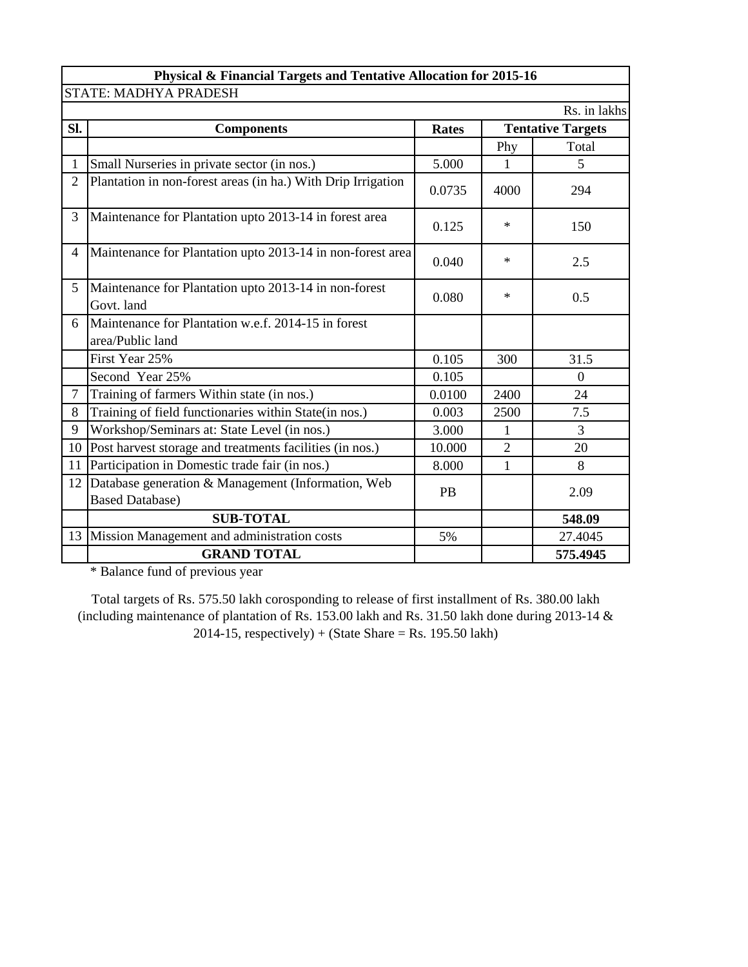|                | Physical & Financial Targets and Tentative Allocation for 2015-16            |              |                |                          |  |  |  |  |  |  |  |
|----------------|------------------------------------------------------------------------------|--------------|----------------|--------------------------|--|--|--|--|--|--|--|
|                | STATE: MADHYA PRADESH                                                        |              |                |                          |  |  |  |  |  |  |  |
|                |                                                                              |              |                | Rs. in lakhs             |  |  |  |  |  |  |  |
| Sl.            | <b>Components</b>                                                            | <b>Rates</b> |                | <b>Tentative Targets</b> |  |  |  |  |  |  |  |
|                |                                                                              |              | Phy            | Total                    |  |  |  |  |  |  |  |
| 1              | Small Nurseries in private sector (in nos.)                                  | 5.000        | 1              | 5                        |  |  |  |  |  |  |  |
| $\overline{2}$ | Plantation in non-forest areas (in ha.) With Drip Irrigation                 | 0.0735       | 4000           | 294                      |  |  |  |  |  |  |  |
| 3              | Maintenance for Plantation upto 2013-14 in forest area                       | 0.125        | $\ast$         | 150                      |  |  |  |  |  |  |  |
| 4              | Maintenance for Plantation upto 2013-14 in non-forest area                   | 0.040        | $\ast$         | 2.5                      |  |  |  |  |  |  |  |
| 5 <sup>1</sup> | Maintenance for Plantation upto 2013-14 in non-forest<br>Govt. land          | 0.080        | $\ast$         | 0.5                      |  |  |  |  |  |  |  |
| 6              | Maintenance for Plantation w.e.f. 2014-15 in forest<br>area/Public land      |              |                |                          |  |  |  |  |  |  |  |
|                | First Year 25%                                                               | 0.105        | 300            | 31.5                     |  |  |  |  |  |  |  |
|                | Second Year 25%                                                              | 0.105        |                | $\Omega$                 |  |  |  |  |  |  |  |
| $\overline{7}$ | Training of farmers Within state (in nos.)                                   | 0.0100       | 2400           | 24                       |  |  |  |  |  |  |  |
| 8              | Training of field functionaries within State(in nos.)                        | 0.003        | 2500           | 7.5                      |  |  |  |  |  |  |  |
| 9              | Workshop/Seminars at: State Level (in nos.)                                  | 3.000        | 1              | 3                        |  |  |  |  |  |  |  |
|                | 10 Post harvest storage and treatments facilities (in nos.)                  | 10.000       | $\overline{2}$ | 20                       |  |  |  |  |  |  |  |
| 11             | Participation in Domestic trade fair (in nos.)                               | 8.000        | $\mathbf{1}$   | 8                        |  |  |  |  |  |  |  |
| 12             | Database generation & Management (Information, Web<br><b>Based Database)</b> | <b>PB</b>    |                | 2.09                     |  |  |  |  |  |  |  |
|                | <b>SUB-TOTAL</b>                                                             |              |                | 548.09                   |  |  |  |  |  |  |  |
|                | 13 Mission Management and administration costs                               | 5%           |                | 27.4045                  |  |  |  |  |  |  |  |
|                | <b>GRAND TOTAL</b>                                                           |              |                | 575.4945                 |  |  |  |  |  |  |  |

\* Balance fund of previous year

Total targets of Rs. 575.50 lakh corosponding to release of first installment of Rs. 380.00 lakh (including maintenance of plantation of Rs. 153.00 lakh and Rs. 31.50 lakh done during 2013-14 &  $2014-15$ , respectively) + (State Share = Rs. 195.50 lakh)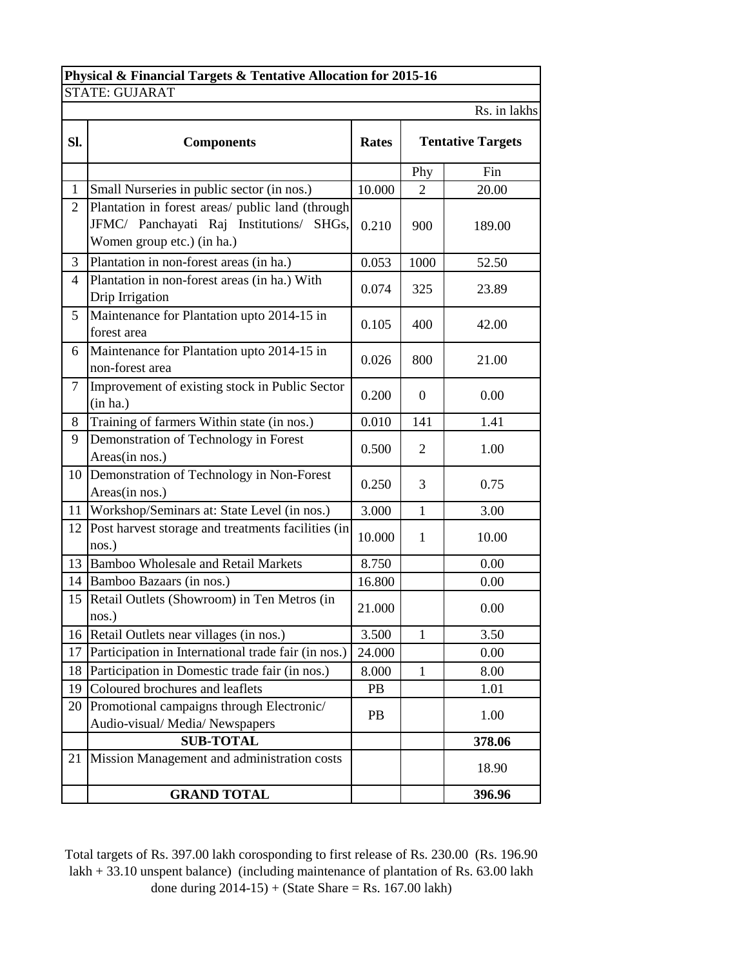| Physical & Financial Targets & Tentative Allocation for 2015-16 |                                                                                                                            |              |              |                          |  |  |  |  |  |
|-----------------------------------------------------------------|----------------------------------------------------------------------------------------------------------------------------|--------------|--------------|--------------------------|--|--|--|--|--|
|                                                                 | <b>STATE: GUJARAT</b>                                                                                                      |              |              |                          |  |  |  |  |  |
|                                                                 |                                                                                                                            |              |              | Rs. in lakhs             |  |  |  |  |  |
| Sl.                                                             | <b>Components</b>                                                                                                          | <b>Rates</b> |              | <b>Tentative Targets</b> |  |  |  |  |  |
|                                                                 |                                                                                                                            |              | Phy          | Fin                      |  |  |  |  |  |
| $\mathbf{1}$                                                    | Small Nurseries in public sector (in nos.)                                                                                 | 10.000       | 2            | 20.00                    |  |  |  |  |  |
| $\overline{2}$                                                  | Plantation in forest areas/ public land (through<br>JFMC/ Panchayati Raj Institutions/ SHGs,<br>Women group etc.) (in ha.) | 0.210        | 900          | 189.00                   |  |  |  |  |  |
| 3                                                               | Plantation in non-forest areas (in ha.)                                                                                    | 0.053        | 1000         | 52.50                    |  |  |  |  |  |
| 4                                                               | Plantation in non-forest areas (in ha.) With<br>Drip Irrigation                                                            | 0.074        | 325          | 23.89                    |  |  |  |  |  |
| 5                                                               | Maintenance for Plantation upto 2014-15 in<br>forest area                                                                  | 0.105        | 400          | 42.00                    |  |  |  |  |  |
| 6                                                               | Maintenance for Plantation upto 2014-15 in<br>non-forest area                                                              | 0.026        | 800          | 21.00                    |  |  |  |  |  |
| $\tau$                                                          | Improvement of existing stock in Public Sector<br>(in ha.)                                                                 | 0.200        | $\Omega$     | 0.00                     |  |  |  |  |  |
| 8                                                               | Training of farmers Within state (in nos.)                                                                                 | 0.010        | 141          | 1.41                     |  |  |  |  |  |
| 9                                                               | Demonstration of Technology in Forest<br>Areas(in nos.)                                                                    | 0.500        | 2            | 1.00                     |  |  |  |  |  |
| 10 <sup>1</sup>                                                 | Demonstration of Technology in Non-Forest<br>Areas(in nos.)                                                                | 0.250        | 3            | 0.75                     |  |  |  |  |  |
| 11                                                              | Workshop/Seminars at: State Level (in nos.)                                                                                | 3.000        | $\mathbf{1}$ | 3.00                     |  |  |  |  |  |
| 12                                                              | Post harvest storage and treatments facilities (in<br>nos.)                                                                | 10.000       | $\mathbf{1}$ | 10.00                    |  |  |  |  |  |
| 13                                                              | <b>Bamboo Wholesale and Retail Markets</b>                                                                                 | 8.750        |              | 0.00                     |  |  |  |  |  |
| 14                                                              | Bamboo Bazaars (in nos.)                                                                                                   | 16.800       |              | 0.00                     |  |  |  |  |  |
| 15                                                              | Retail Outlets (Showroom) in Ten Metros (in<br>nos.)                                                                       | 21.000       |              | 0.00                     |  |  |  |  |  |
| 16                                                              | Retail Outlets near villages (in nos.)                                                                                     | 3.500        | $\mathbf{1}$ | 3.50                     |  |  |  |  |  |
| 17                                                              | Participation in International trade fair (in nos.)                                                                        | 24.000       |              | 0.00                     |  |  |  |  |  |
| 18                                                              | Participation in Domestic trade fair (in nos.)                                                                             | 8.000        | $\mathbf{1}$ | 8.00                     |  |  |  |  |  |
| 19                                                              | Coloured brochures and leaflets                                                                                            | PB           |              | 1.01                     |  |  |  |  |  |
| 20                                                              | Promotional campaigns through Electronic/<br>Audio-visual/Media/Newspapers                                                 | PB           |              | 1.00                     |  |  |  |  |  |
|                                                                 | <b>SUB-TOTAL</b>                                                                                                           |              |              | 378.06                   |  |  |  |  |  |
| 21                                                              | Mission Management and administration costs                                                                                |              |              | 18.90                    |  |  |  |  |  |
|                                                                 | <b>GRAND TOTAL</b>                                                                                                         |              |              | 396.96                   |  |  |  |  |  |

Total targets of Rs. 397.00 lakh corosponding to first release of Rs. 230.00 (Rs. 196.90 lakh + 33.10 unspent balance) (including maintenance of plantation of Rs. 63.00 lakh done during  $2014-15$ ) + (State Share = Rs. 167.00 lakh)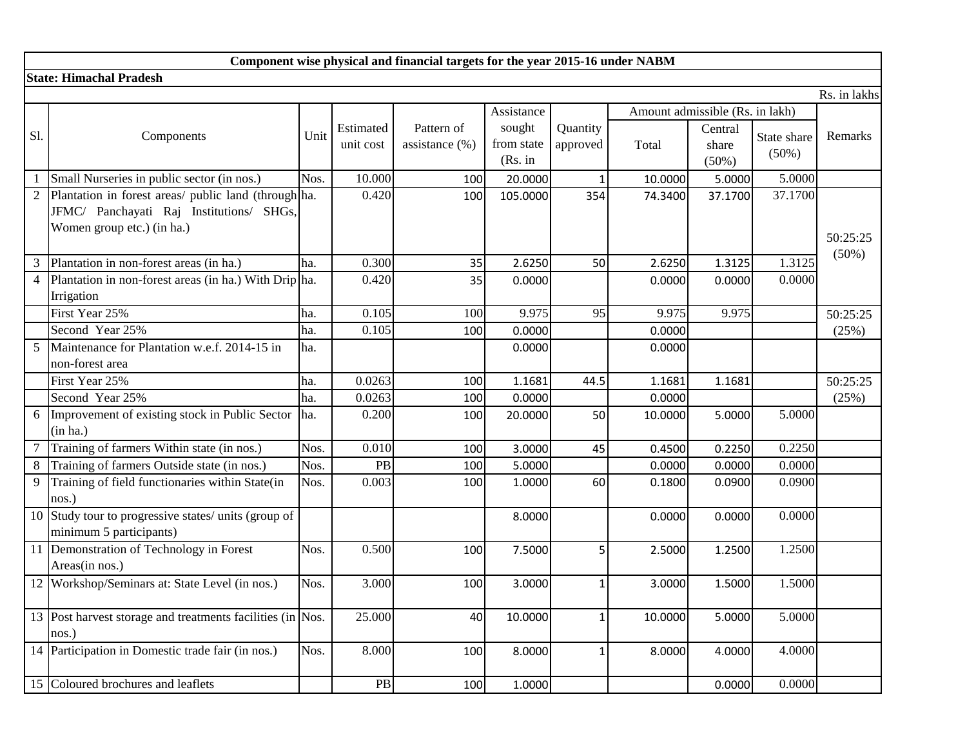|                | Component wise physical and financial targets for the year 2015-16 under NABM                                                  |      |                        |                                  |                                 |                      |         |                                 |                         |                      |  |  |
|----------------|--------------------------------------------------------------------------------------------------------------------------------|------|------------------------|----------------------------------|---------------------------------|----------------------|---------|---------------------------------|-------------------------|----------------------|--|--|
|                | <b>State: Himachal Pradesh</b>                                                                                                 |      |                        |                                  |                                 |                      |         |                                 |                         |                      |  |  |
|                |                                                                                                                                |      |                        |                                  |                                 |                      |         |                                 |                         | Rs. in lakhs         |  |  |
|                |                                                                                                                                |      |                        |                                  | Assistance                      |                      |         | Amount admissible (Rs. in lakh) |                         |                      |  |  |
| S1.            | Components                                                                                                                     | Unit | Estimated<br>unit cost | Pattern of<br>assistance $(\% )$ | sought<br>from state<br>(Rs. in | Quantity<br>approved | Total   | Central<br>share<br>$(50\%)$    | State share<br>$(50\%)$ | Remarks              |  |  |
|                | Small Nurseries in public sector (in nos.)                                                                                     | Nos. | 10.000                 | 100                              | 20.0000                         | 1                    | 10.0000 | 5.0000                          | 5.0000                  |                      |  |  |
|                | Plantation in forest areas/ public land (through ha.<br>JFMC/ Panchayati Raj Institutions/ SHGs,<br>Women group etc.) (in ha.) |      | 0.420                  | 100                              | 105.0000                        | 354                  | 74.3400 | 37.1700                         | 37.1700                 | 50:25:25<br>$(50\%)$ |  |  |
| 3              | Plantation in non-forest areas (in ha.)                                                                                        | ha.  | 0.300                  | 35                               | 2.6250                          | 50                   | 2.6250  | 1.3125                          | 1.3125                  |                      |  |  |
| $\overline{4}$ | Plantation in non-forest areas (in ha.) With Drip ha.<br>Irrigation                                                            |      | 0.420                  | 35                               | 0.0000                          |                      | 0.0000  | 0.0000                          | 0.0000                  |                      |  |  |
|                | First Year 25%                                                                                                                 | ha.  | 0.105                  | 100                              | 9.975                           | 95                   | 9.975   | 9.975                           |                         | 50:25:25             |  |  |
|                | Second Year 25%                                                                                                                | ha.  | 0.105                  | 100                              | 0.0000                          |                      | 0.0000  |                                 |                         | (25%)                |  |  |
| 5              | Maintenance for Plantation w.e.f. 2014-15 in<br>non-forest area                                                                | ha.  |                        |                                  | 0.0000                          |                      | 0.0000  |                                 |                         |                      |  |  |
|                | First Year 25%                                                                                                                 | ha.  | 0.0263                 | 100                              | 1.1681                          | 44.5                 | 1.1681  | 1.1681                          |                         | 50:25:25             |  |  |
|                | Second Year 25%                                                                                                                | ha.  | 0.0263                 | 100                              | 0.0000                          |                      | 0.0000  |                                 |                         | (25%)                |  |  |
| 6              | Improvement of existing stock in Public Sector<br>(in ha.)                                                                     | ha.  | 0.200                  | 100                              | 20.0000                         | 50                   | 10.0000 | 5.0000                          | 5.0000                  |                      |  |  |
|                | Training of farmers Within state (in nos.)                                                                                     | Nos. | 0.010                  | 100                              | 3.0000                          | 45                   | 0.4500  | 0.2250                          | 0.2250                  |                      |  |  |
| 8              | Training of farmers Outside state (in nos.)                                                                                    | Nos. | PB                     | 100                              | 5.0000                          |                      | 0.0000  | 0.0000                          | 0.0000                  |                      |  |  |
| 9              | Training of field functionaries within State(in<br>nos.)                                                                       | Nos. | 0.003                  | 100                              | 1.0000                          | 60                   | 0.1800  | 0.0900                          | 0.0900                  |                      |  |  |
| 10             | Study tour to progressive states/ units (group of<br>minimum 5 participants)                                                   |      |                        |                                  | 8.0000                          |                      | 0.0000  | 0.0000                          | 0.0000                  |                      |  |  |
|                | 11 Demonstration of Technology in Forest<br>Areas(in nos.)                                                                     | Nos. | 0.500                  | 100                              | 7.5000                          | 5                    | 2.5000  | 1.2500                          | 1.2500                  |                      |  |  |
|                | 12 Workshop/Seminars at: State Level (in nos.)                                                                                 | Nos. | 3.000                  | 100                              | 3.0000                          |                      | 3.0000  | 1.5000                          | 1.5000                  |                      |  |  |
|                | 13 Post harvest storage and treatments facilities (in Nos.<br>nos.)                                                            |      | 25.000                 | 40                               | 10.0000                         |                      | 10.0000 | 5.0000                          | 5.0000                  |                      |  |  |
|                | 14 Participation in Domestic trade fair (in nos.)                                                                              | Nos. | 8.000                  | 100                              | 8.0000                          | 1                    | 8.0000  | 4.0000                          | 4.0000                  |                      |  |  |
|                | 15 Coloured brochures and leaflets                                                                                             |      | PB                     | 100                              | 1.0000                          |                      |         | 0.0000                          | 0.0000                  |                      |  |  |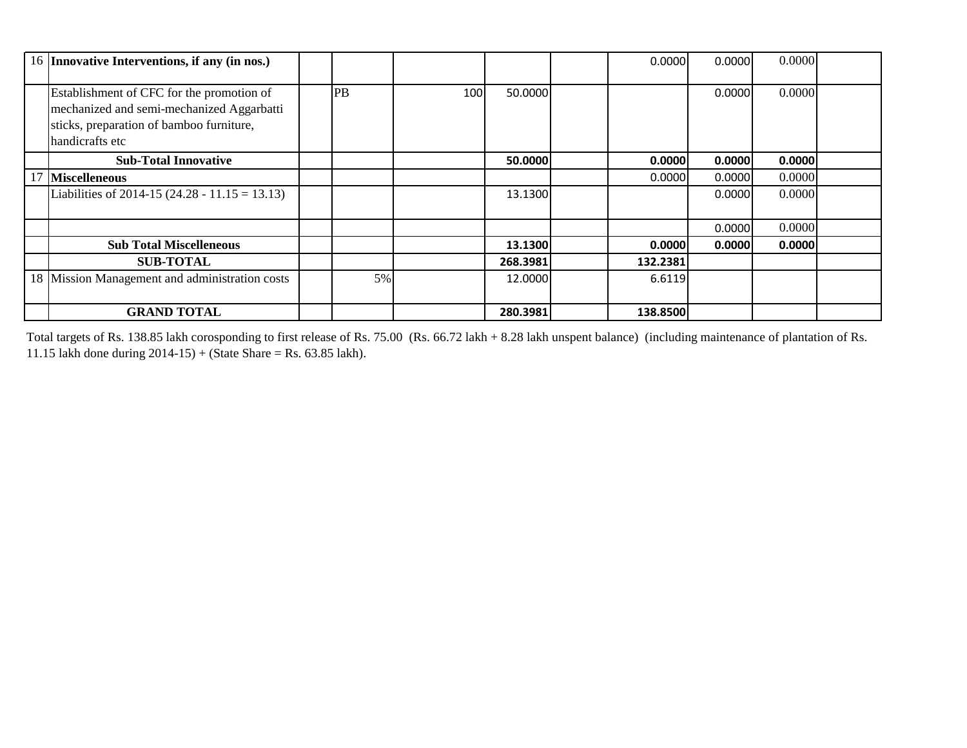|    | 16 Innovative Interventions, if any (in nos.)                                                                                                         |    |     |          | 0.0000   | 0.0000 | 0.0000 |  |
|----|-------------------------------------------------------------------------------------------------------------------------------------------------------|----|-----|----------|----------|--------|--------|--|
|    | Establishment of CFC for the promotion of<br>mechanized and semi-mechanized Aggarbatti<br>sticks, preparation of bamboo furniture,<br>handicrafts etc | PB | 100 | 50.0000  |          | 0.0000 | 0.0000 |  |
|    | <b>Sub-Total Innovative</b>                                                                                                                           |    |     | 50.0000  | 0.0000   | 0.0000 | 0.0000 |  |
| 17 | <b>Miscelleneous</b>                                                                                                                                  |    |     |          | 0.0000   | 0.0000 | 0.0000 |  |
|    | Liabilities of 2014-15 (24.28 - 11.15 = 13.13)                                                                                                        |    |     | 13.1300  |          | 0.0000 | 0.0000 |  |
|    |                                                                                                                                                       |    |     |          |          | 0.0000 | 0.0000 |  |
|    | <b>Sub Total Miscelleneous</b>                                                                                                                        |    |     | 13.1300  | 0.0000   | 0.0000 | 0.0000 |  |
|    | <b>SUB-TOTAL</b>                                                                                                                                      |    |     | 268.3981 | 132.2381 |        |        |  |
|    | 18 Mission Management and administration costs                                                                                                        | 5% |     | 12.0000  | 6.6119   |        |        |  |
|    | <b>GRAND TOTAL</b>                                                                                                                                    |    |     | 280.3981 | 138.8500 |        |        |  |

Total targets of Rs. 138.85 lakh corosponding to first release of Rs. 75.00 (Rs. 66.72 lakh + 8.28 lakh unspent balance) (including maintenance of plantation of Rs. 11.15 lakh done during  $2014-15$ ) + (State Share = Rs. 63.85 lakh).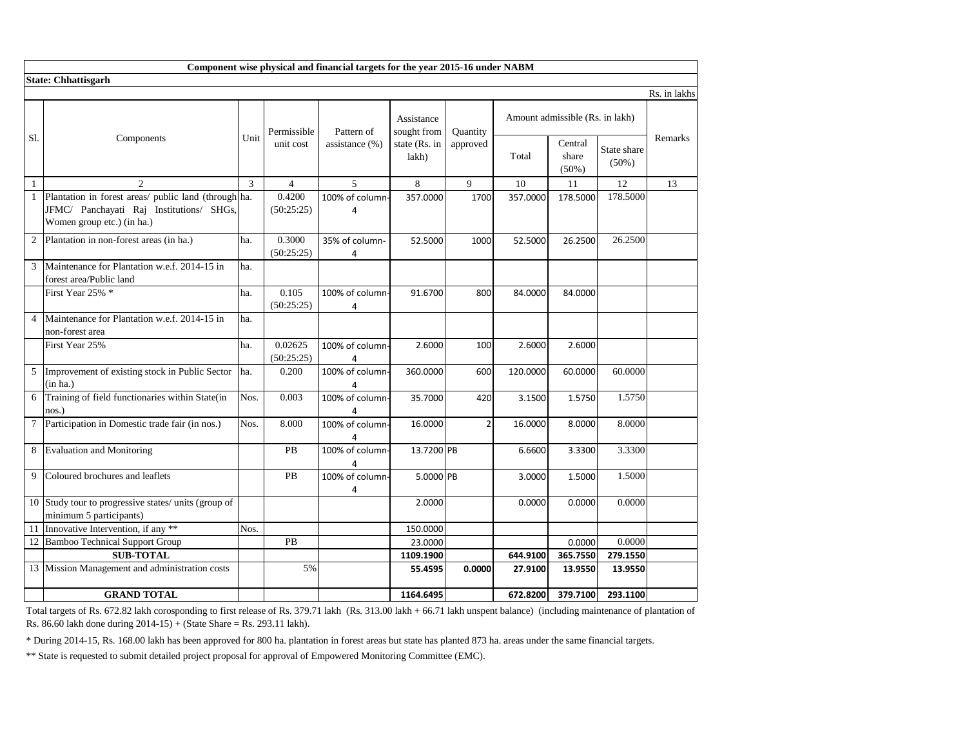|                | Component wise physical and financial targets for the year 2015-16 under NABM                                                  |      |                       |                      |                                                     |                      |          |                                 |                         |              |  |  |  |
|----------------|--------------------------------------------------------------------------------------------------------------------------------|------|-----------------------|----------------------|-----------------------------------------------------|----------------------|----------|---------------------------------|-------------------------|--------------|--|--|--|
|                | <b>State: Chhattisgarh</b>                                                                                                     |      |                       |                      |                                                     |                      |          |                                 |                         |              |  |  |  |
|                |                                                                                                                                |      |                       |                      |                                                     |                      |          |                                 |                         | Rs. in lakhs |  |  |  |
|                |                                                                                                                                |      | Permissible           | Pattern of           | Assistance<br>sought from<br>state (Rs. in<br>lakh) | Quantity<br>approved |          | Amount admissible (Rs. in lakh) |                         |              |  |  |  |
| S1.            | Components                                                                                                                     | Unit | unit cost             | assistance (%)       |                                                     |                      | Total    | Central<br>share<br>$(50\%)$    | State share<br>$(50\%)$ | Remarks      |  |  |  |
| $\mathbf{1}$   | $\overline{2}$                                                                                                                 | 3    | $\overline{4}$        | 5                    | 8                                                   | 9                    | 10       | 11                              | 12                      | 13           |  |  |  |
| $\mathbf{1}$   | Plantation in forest areas/ public land (through ha.<br>JFMC/ Panchayati Raj Institutions/ SHGs,<br>Women group etc.) (in ha.) |      | 0.4200<br>(50:25:25)  | 100% of column-<br>4 | 357.0000                                            | 1700                 | 357.0000 | 178.5000                        | 178,5000                |              |  |  |  |
| $\overline{c}$ | Plantation in non-forest areas (in ha.)                                                                                        | ha.  | 0.3000<br>(50:25:25)  | 35% of column-<br>4  | 52.5000                                             | 1000                 | 52.5000  | 26.2500                         | 26.2500                 |              |  |  |  |
| 3              | Maintenance for Plantation w.e.f. 2014-15 in<br>forest area/Public land                                                        | ha.  |                       |                      |                                                     |                      |          |                                 |                         |              |  |  |  |
|                | First Year 25% *                                                                                                               | ha.  | 0.105<br>(50:25:25)   | 100% of column-<br>4 | 91.6700                                             | 800                  | 84.0000  | 84.0000                         |                         |              |  |  |  |
| 4              | Maintenance for Plantation w.e.f. 2014-15 in<br>non-forest area                                                                | ha.  |                       |                      |                                                     |                      |          |                                 |                         |              |  |  |  |
|                | First Year 25%                                                                                                                 | ha.  | 0.02625<br>(50:25:25) | 100% of column-<br>4 | 2.6000                                              | 100                  | 2.6000   | 2.6000                          |                         |              |  |  |  |
| 5              | Improvement of existing stock in Public Sector<br>(in ha.)                                                                     | ha.  | 0.200                 | 100% of column-<br>4 | 360.0000                                            | 600                  | 120.0000 | 60.0000                         | 60.0000                 |              |  |  |  |
| 6              | Training of field functionaries within State(in<br>nos.)                                                                       | Nos. | 0.003                 | 100% of column-<br>4 | 35.7000                                             | 420                  | 3.1500   | 1.5750                          | 1.5750                  |              |  |  |  |
| $\tau$         | Participation in Domestic trade fair (in nos.)                                                                                 | Nos. | 8.000                 | 100% of column-<br>4 | 16.0000                                             | $\overline{2}$       | 16.0000  | 8.0000                          | 8.0000                  |              |  |  |  |
| 8              | <b>Evaluation and Monitoring</b>                                                                                               |      | <b>PB</b>             | 100% of column-<br>4 | 13.7200 PB                                          |                      | 6.6600   | 3.3300                          | 3.3300                  |              |  |  |  |
| 9              | Coloured brochures and leaflets                                                                                                |      | PB                    | 100% of column-<br>4 | 5.0000 PB                                           |                      | 3.0000   | 1.5000                          | 1.5000                  |              |  |  |  |
|                | 10 Study tour to progressive states/ units (group of<br>minimum 5 participants)                                                |      |                       |                      | 2.0000                                              |                      | 0.0000   | 0.0000                          | 0.0000                  |              |  |  |  |
| 11             | Innovative Intervention, if any **                                                                                             | Nos. |                       |                      | 150.0000                                            |                      |          |                                 |                         |              |  |  |  |
| 12             | <b>Bamboo Technical Support Group</b>                                                                                          |      | PB                    |                      | 23.0000                                             |                      |          | 0.0000                          | 0.0000                  |              |  |  |  |
|                | <b>SUB-TOTAL</b>                                                                                                               |      |                       |                      | 1109.1900                                           |                      | 644.9100 | 365.7550                        | 279.1550                |              |  |  |  |
|                | 13 Mission Management and administration costs                                                                                 |      | 5%                    |                      | 55.4595                                             | 0.0000               | 27.9100  | 13.9550                         | 13.9550                 |              |  |  |  |
|                | <b>GRAND TOTAL</b>                                                                                                             |      |                       |                      | 1164.6495                                           |                      | 672.8200 | 379.7100                        | 293.1100                |              |  |  |  |

Total targets of Rs. 672.82 lakh corosponding to first release of Rs. 379.71 lakh (Rs. 313.00 lakh + 66.71 lakh unspent balance) (including maintenance of plantation of Rs. 86.60 lakh done during  $2014-15$ ) + (State Share = Rs. 293.11 lakh).

\* During 2014-15, Rs. 168.00 lakh has been approved for 800 ha. plantation in forest areas but state has planted 873 ha. areas under the same financial targets.

\*\* State is requested to submit detailed project proposal for approval of Empowered Monitoring Committee (EMC).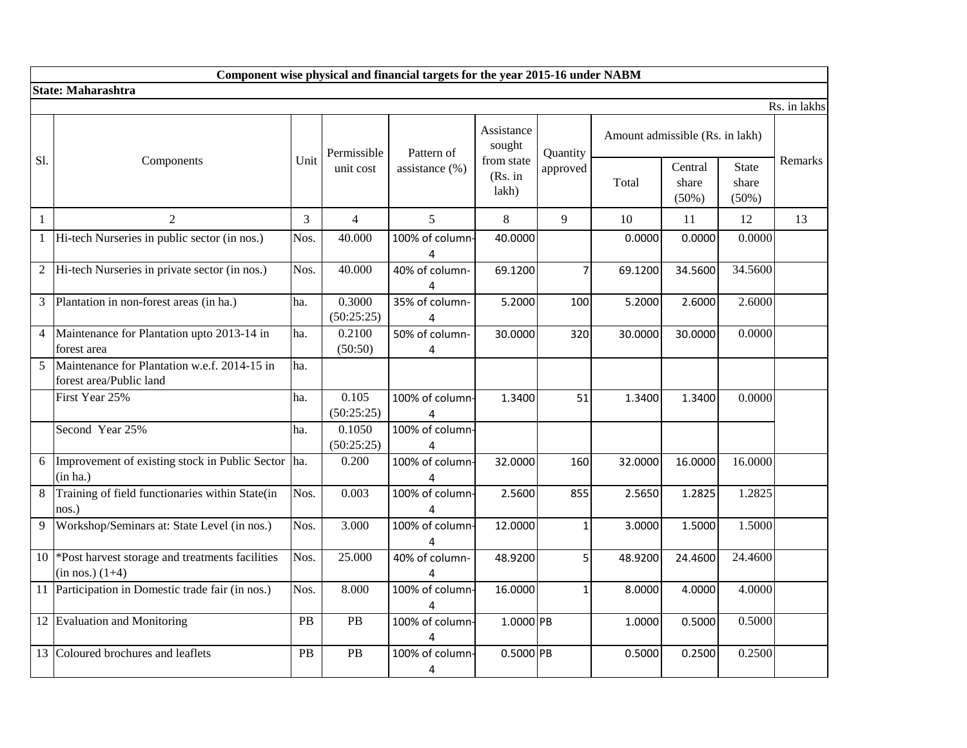|                | Component wise physical and financial targets for the year 2015-16 under NABM |      |                      |                      |                                |              |                                 |                           |                                |         |  |  |
|----------------|-------------------------------------------------------------------------------|------|----------------------|----------------------|--------------------------------|--------------|---------------------------------|---------------------------|--------------------------------|---------|--|--|
|                | <b>State: Maharashtra</b>                                                     |      |                      |                      |                                |              |                                 |                           |                                |         |  |  |
|                | Rs. in lakhs                                                                  |      |                      |                      |                                |              |                                 |                           |                                |         |  |  |
|                |                                                                               |      | Permissible          | Pattern of           | Assistance<br>sought           | Quantity     | Amount admissible (Rs. in lakh) |                           |                                |         |  |  |
| S1.            | Components                                                                    | Unit | unit cost            | assistance (%)       | from state<br>(Rs. in<br>lakh) | approved     | Total                           | Central<br>share<br>(50%) | <b>State</b><br>share<br>(50%) | Remarks |  |  |
| $\mathbf{1}$   | $\overline{2}$                                                                | 3    | $\overline{4}$       | 5                    | 8                              | 9            | 10                              | 11                        | 12                             | 13      |  |  |
|                | 1 Hi-tech Nurseries in public sector (in nos.)                                | Nos. | 40.000               | 100% of column-<br>4 | 40.0000                        |              | 0.0000                          | 0.0000                    | 0.0000                         |         |  |  |
| $\overline{2}$ | Hi-tech Nurseries in private sector (in nos.)                                 | Nos. | 40.000               | 40% of column-<br>4  | 69.1200                        | 7            | 69.1200                         | 34.5600                   | 34.5600                        |         |  |  |
| 3              | Plantation in non-forest areas (in ha.)                                       | ha.  | 0.3000<br>(50:25:25) | 35% of column-<br>4  | 5.2000                         | 100          | 5.2000                          | 2.6000                    | 2.6000                         |         |  |  |
| 4              | Maintenance for Plantation upto 2013-14 in<br>forest area                     | ha.  | 0.2100<br>(50:50)    | 50% of column-<br>4  | 30.0000                        | 320          | 30.0000                         | 30.0000                   | 0.0000                         |         |  |  |
| 5              | Maintenance for Plantation w.e.f. 2014-15 in<br>forest area/Public land       | ha.  |                      |                      |                                |              |                                 |                           |                                |         |  |  |
|                | First Year 25%                                                                | ha.  | 0.105<br>(50:25:25)  | 100% of column-<br>4 | 1.3400                         | 51           | 1.3400                          | 1.3400                    | 0.0000                         |         |  |  |
|                | Second Year 25%                                                               | ha.  | 0.1050<br>(50:25:25) | 100% of column-<br>4 |                                |              |                                 |                           |                                |         |  |  |
| 6              | Improvement of existing stock in Public Sector<br>(in ha.)                    | ha.  | 0.200                | 100% of column-<br>4 | 32.0000                        | 160          | 32.0000                         | 16.0000                   | 16.0000                        |         |  |  |
| 8              | Training of field functionaries within State(in<br>nos.)                      | Nos. | 0.003                | 100% of column-<br>4 | 2.5600                         | 855          | 2.5650                          | 1.2825                    | 1.2825                         |         |  |  |
| 9              | Workshop/Seminars at: State Level (in nos.)                                   | Nos. | 3.000                | 100% of column-<br>4 | 12.0000                        | $\mathbf 1$  | 3.0000                          | 1.5000                    | 1.5000                         |         |  |  |
|                | 10 *Post harvest storage and treatments facilities<br>$(in nos.) (1+4)$       | Nos. | 25.000               | 40% of column-<br>4  | 48.9200                        | 5            | 48.9200                         | 24.4600                   | 24.4600                        |         |  |  |
|                | 11 Participation in Domestic trade fair (in nos.)                             | Nos. | 8.000                | 100% of column-<br>4 | 16.0000                        | $\mathbf{1}$ | 8.0000                          | 4.0000                    | 4.0000                         |         |  |  |
|                | 12 Evaluation and Monitoring                                                  | PB   | PB                   | 100% of column-<br>4 | 1.0000 PB                      |              | 1.0000                          | 0.5000                    | 0.5000                         |         |  |  |
|                | 13 Coloured brochures and leaflets                                            | PB   | PB                   | 100% of column<br>4  | 0.5000 PB                      |              | 0.5000                          | 0.2500                    | 0.2500                         |         |  |  |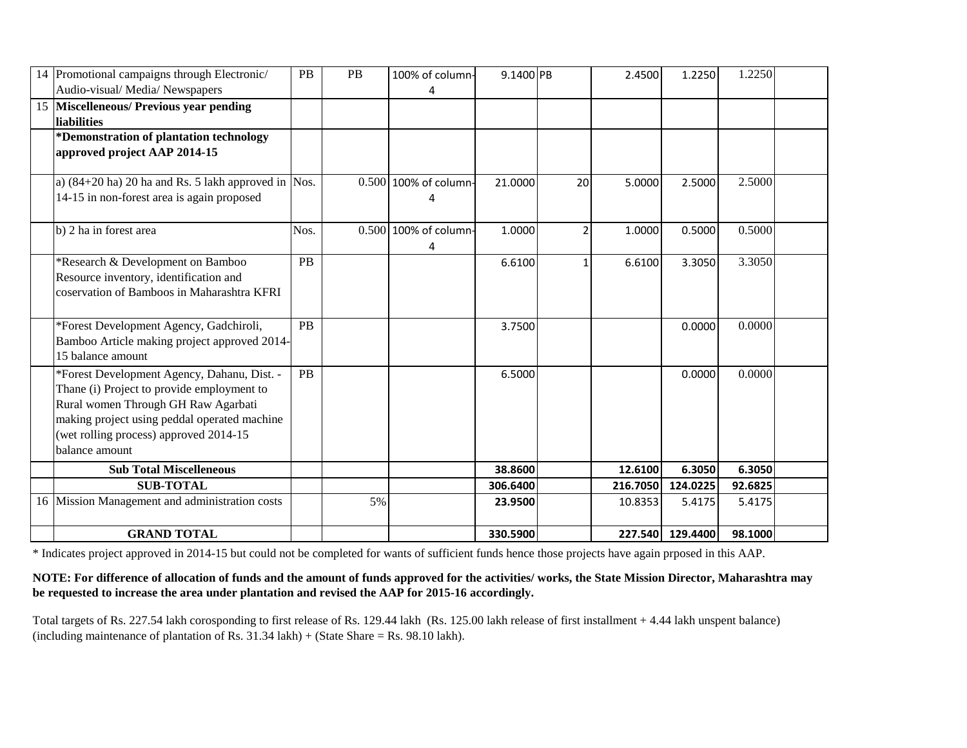|    | 14 Promotional campaigns through Electronic/<br>Audio-visual/Media/Newspapers                                                                                                                                                                | <b>PB</b> | PB | 100% of column-<br>4       | 9.1400 PB |              | 2.4500   | 1.2250           | 1.2250  |  |
|----|----------------------------------------------------------------------------------------------------------------------------------------------------------------------------------------------------------------------------------------------|-----------|----|----------------------------|-----------|--------------|----------|------------------|---------|--|
| 15 | <b>Miscelleneous/ Previous year pending</b><br><b>liabilities</b>                                                                                                                                                                            |           |    |                            |           |              |          |                  |         |  |
|    | *Demonstration of plantation technology<br>approved project AAP 2014-15                                                                                                                                                                      |           |    |                            |           |              |          |                  |         |  |
|    | a) $(84+20 \text{ ha})$ 20 ha and Rs. 5 lakh approved in Nos.<br>14-15 in non-forest area is again proposed                                                                                                                                  |           |    | 0.500 100% of column-      | 21.0000   | 20           | 5.0000   | 2.5000           | 2.5000  |  |
|    | b) 2 ha in forest area                                                                                                                                                                                                                       | Nos.      |    | 0.500 100% of column-<br>4 | 1.0000    | 2            | 1.0000   | 0.5000           | 0.5000  |  |
|    | *Research & Development on Bamboo<br>Resource inventory, identification and<br>coservation of Bamboos in Maharashtra KFRI                                                                                                                    | <b>PB</b> |    |                            | 6.6100    | $\mathbf{1}$ | 6.6100   | 3.3050           | 3.3050  |  |
|    | *Forest Development Agency, Gadchiroli,<br>Bamboo Article making project approved 2014-<br>15 balance amount                                                                                                                                 | <b>PB</b> |    |                            | 3.7500    |              |          | 0.0000           | 0.0000  |  |
|    | *Forest Development Agency, Dahanu, Dist. -<br>Thane (i) Project to provide employment to<br>Rural women Through GH Raw Agarbati<br>making project using peddal operated machine<br>(wet rolling process) approved 2014-15<br>balance amount | PB        |    |                            | 6.5000    |              |          | 0.0000           | 0.0000  |  |
|    | <b>Sub Total Miscelleneous</b>                                                                                                                                                                                                               |           |    |                            | 38.8600   |              | 12.6100  | 6.3050           | 6.3050  |  |
|    | <b>SUB-TOTAL</b>                                                                                                                                                                                                                             |           |    |                            | 306.6400  |              | 216.7050 | 124.0225         | 92.6825 |  |
|    | 16 Mission Management and administration costs                                                                                                                                                                                               |           | 5% |                            | 23.9500   |              | 10.8353  | 5.4175           | 5.4175  |  |
|    | <b>GRAND TOTAL</b>                                                                                                                                                                                                                           |           |    |                            | 330.5900  |              |          | 227.540 129.4400 | 98.1000 |  |

\* Indicates project approved in 2014-15 but could not be completed for wants of sufficient funds hence those projects have again prposed in this AAP.

## **NOTE: For difference of allocation of funds and the amount of funds approved for the activities/ works, the State Mission Director, Maharashtra may be requested to increase the area under plantation and revised the AAP for 2015-16 accordingly.**

Total targets of Rs. 227.54 lakh corosponding to first release of Rs. 129.44 lakh (Rs. 125.00 lakh release of first installment + 4.44 lakh unspent balance) (including maintenance of plantation of Rs.  $31.34$  lakh) + (State Share = Rs. 98.10 lakh).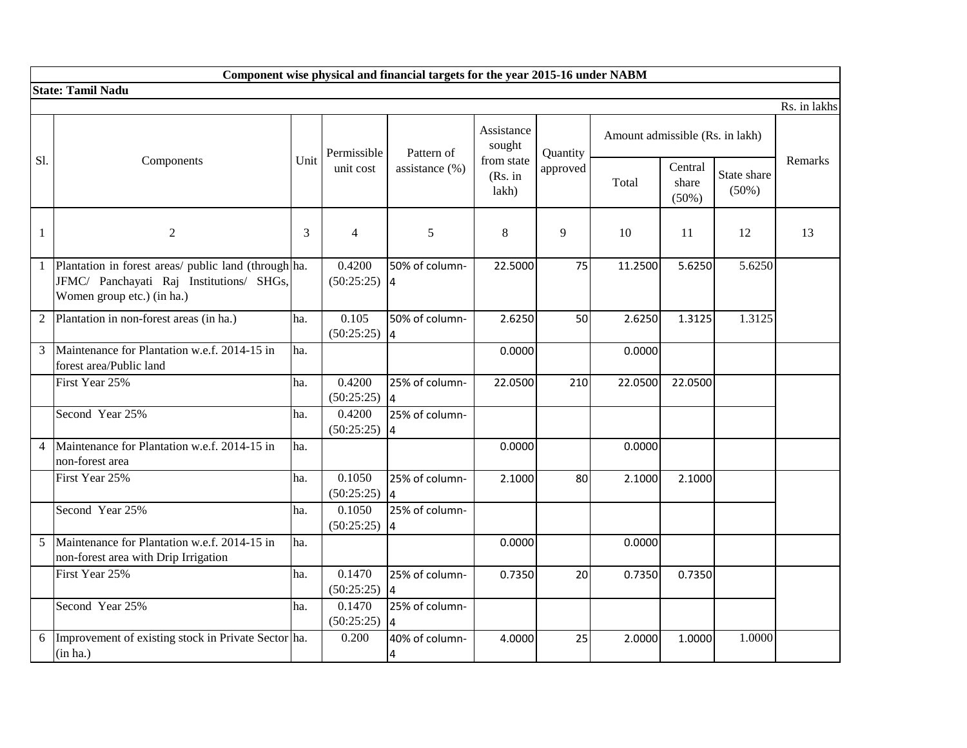|                | Component wise physical and financial targets for the year 2015-16 under NABM                                                  |      |                          |                                  |                                |          |                                 |                              |                         |                |  |  |
|----------------|--------------------------------------------------------------------------------------------------------------------------------|------|--------------------------|----------------------------------|--------------------------------|----------|---------------------------------|------------------------------|-------------------------|----------------|--|--|
|                | <b>State: Tamil Nadu</b>                                                                                                       |      |                          |                                  |                                |          |                                 |                              |                         |                |  |  |
|                |                                                                                                                                |      |                          |                                  |                                |          |                                 |                              |                         | Rs. in lakhs   |  |  |
|                |                                                                                                                                |      | Permissible              | Pattern of                       | Assistance<br>sought           | Quantity | Amount admissible (Rs. in lakh) |                              |                         |                |  |  |
| Sl.            | Components                                                                                                                     | Unit | unit cost                | assistance $(\%)$                | from state<br>(Rs. in<br>lakh) | approved | Total                           | Central<br>share<br>$(50\%)$ | State share<br>$(50\%)$ | <b>Remarks</b> |  |  |
| $\mathbf{1}$   | $\overline{2}$                                                                                                                 | 3    | 4                        | 5                                | 8                              | 9        | 10                              | 11                           | 12                      | 13             |  |  |
| $\mathbf{1}$   | Plantation in forest areas/ public land (through ha.<br>JFMC/ Panchayati Raj Institutions/ SHGs,<br>Women group etc.) (in ha.) |      | 0.4200<br>$(50:25:25)$ 4 | 50% of column-                   | 22.5000                        | 75       | 11.2500                         | 5.6250                       | 5.6250                  |                |  |  |
| 2              | Plantation in non-forest areas (in ha.)                                                                                        | ha.  | 0.105<br>(50:25:25)      | 50% of column-<br> 4             | 2.6250                         | 50       | 2.6250                          | 1.3125                       | 1.3125                  |                |  |  |
| 3              | Maintenance for Plantation w.e.f. 2014-15 in<br>forest area/Public land                                                        | ha.  |                          |                                  | 0.0000                         |          | 0.0000                          |                              |                         |                |  |  |
|                | First Year 25%                                                                                                                 | ha.  | 0.4200<br>(50:25:25)     | 25% of column-<br>I4             | 22.0500                        | 210      | 22.0500                         | 22.0500                      |                         |                |  |  |
|                | Second Year 25%                                                                                                                | ha.  | 0.4200<br>(50:25:25)     | 25% of column-<br>$\overline{4}$ |                                |          |                                 |                              |                         |                |  |  |
| $\overline{4}$ | Maintenance for Plantation w.e.f. 2014-15 in<br>non-forest area                                                                | ha.  |                          |                                  | 0.0000                         |          | 0.0000                          |                              |                         |                |  |  |
|                | First Year 25%                                                                                                                 | ha.  | 0.1050<br>(50:25:25)     | 25% of column-                   | 2.1000                         | 80       | 2.1000                          | 2.1000                       |                         |                |  |  |
|                | Second Year 25%                                                                                                                | ha.  | 0.1050<br>(50:25:25)     | 25% of column-<br>4              |                                |          |                                 |                              |                         |                |  |  |
| 5              | Maintenance for Plantation w.e.f. 2014-15 in<br>non-forest area with Drip Irrigation                                           | ha.  |                          |                                  | 0.0000                         |          | 0.0000                          |                              |                         |                |  |  |
|                | First Year 25%                                                                                                                 | ha.  | 0.1470<br>(50:25:25)     | 25% of column-<br>4              | 0.7350                         | 20       | 0.7350                          | 0.7350                       |                         |                |  |  |
|                | Second Year 25%                                                                                                                | ha.  | 0.1470<br>(50:25:25)     | 25% of column-<br>4              |                                |          |                                 |                              |                         |                |  |  |
| 6              | Improvement of existing stock in Private Sector ha.<br>(in ha.)                                                                |      | 0.200                    | 40% of column-<br>4              | 4.0000                         | 25       | 2.0000                          | 1.0000                       | 1.0000                  |                |  |  |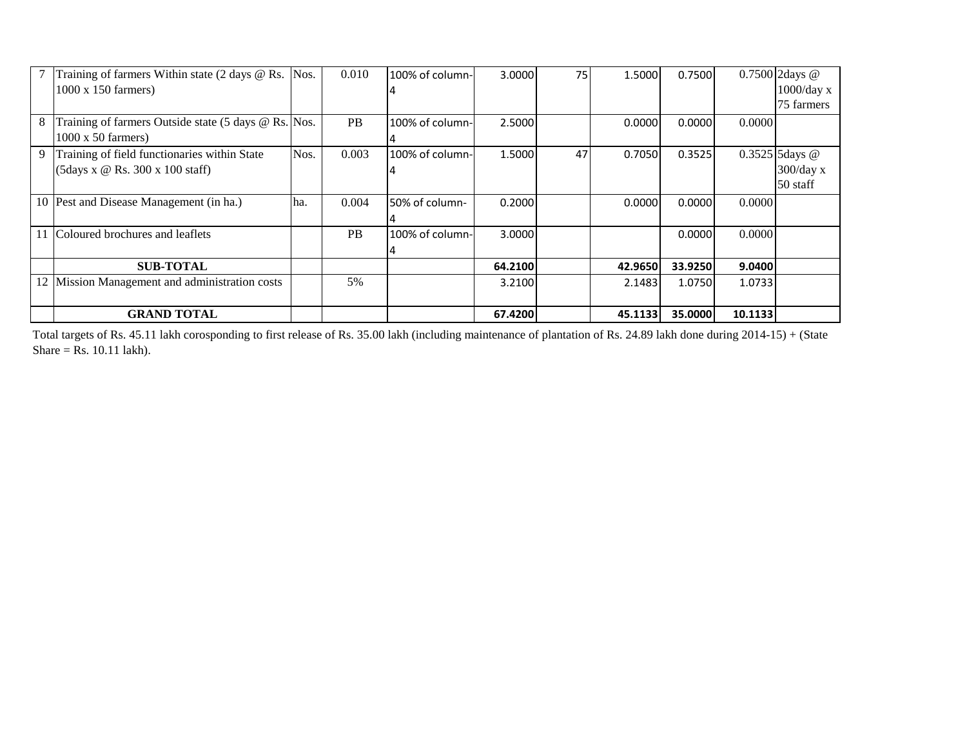|    | Training of farmers Within state $(2 \text{ days } \textcircled{e} \text{ Rs. }   \text{Nos. }$ |      | 0.010     | 100% of column- | 3.0000  | 75 | 1.5000  | 0.7500  |         | 0.7500 2days @   |
|----|-------------------------------------------------------------------------------------------------|------|-----------|-----------------|---------|----|---------|---------|---------|------------------|
|    | $1000 \times 150$ farmers)                                                                      |      |           |                 |         |    |         |         |         | $1000$ /day x    |
|    |                                                                                                 |      |           |                 |         |    |         |         |         | 75 farmers       |
| 8  | Training of farmers Outside state (5 days @ Rs. Nos.                                            |      | PB        | 100% of column- | 2.5000  |    | 0.0000  | 0.0000  | 0.0000  |                  |
|    | $1000 \times 50$ farmers)                                                                       |      |           |                 |         |    |         |         |         |                  |
| 9  | Training of field functionaries within State                                                    | Nos. | 0.003     | 100% of column- | 1.5000  | 47 | 0.7050  | 0.3525  |         | $0.3525$ 5days @ |
|    | $(5 \text{days} \times \textcircled{e} \text{Rs.} 300 \times 100 \text{ staff})$                |      |           |                 |         |    |         |         |         | $300$ /day x     |
|    |                                                                                                 |      |           |                 |         |    |         |         |         | 50 staff         |
|    | 10 Pest and Disease Management (in ha.)                                                         | lha. | 0.004     | 50% of column-  | 0.2000  |    | 0.0000  | 0.0000  | 0.0000  |                  |
|    |                                                                                                 |      |           |                 |         |    |         |         |         |                  |
|    | 11 Coloured brochures and leaflets                                                              |      | <b>PB</b> | 100% of column- | 3.0000  |    |         | 0.0000  | 0.0000  |                  |
|    |                                                                                                 |      |           |                 |         |    |         |         |         |                  |
|    | <b>SUB-TOTAL</b>                                                                                |      |           |                 | 64.2100 |    | 42.9650 | 33.9250 | 9.0400  |                  |
| 12 | Mission Management and administration costs                                                     |      | 5%        |                 | 3.2100  |    | 2.1483  | 1.0750  | 1.0733  |                  |
|    |                                                                                                 |      |           |                 |         |    |         |         |         |                  |
|    | <b>GRAND TOTAL</b>                                                                              |      |           |                 | 67.4200 |    | 45.1133 | 35.0000 | 10.1133 |                  |

Total targets of Rs. 45.11 lakh corosponding to first release of Rs. 35.00 lakh (including maintenance of plantation of Rs. 24.89 lakh done during 2014-15) + (State Share = Rs.  $10.11$  lakh).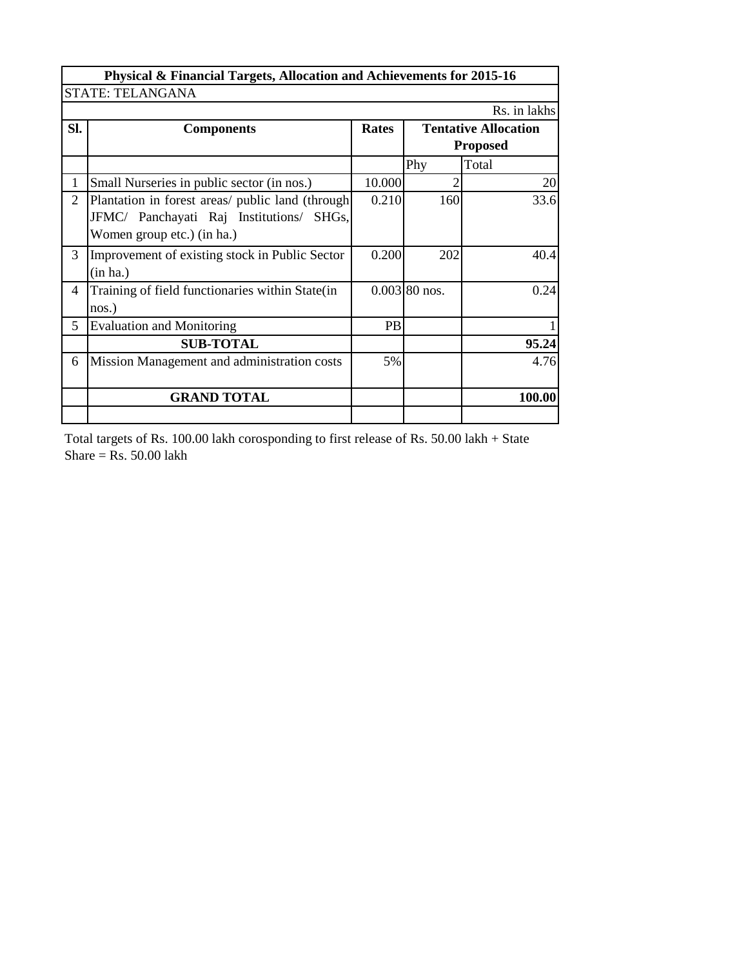|                | Physical & Financial Targets, Allocation and Achievements for 2015-16 |        |                 |                 |  |  |  |  |  |
|----------------|-----------------------------------------------------------------------|--------|-----------------|-----------------|--|--|--|--|--|
|                | <b>STATE: TELANGANA</b>                                               |        |                 |                 |  |  |  |  |  |
|                |                                                                       |        |                 | Rs. in lakhs    |  |  |  |  |  |
| SI.            | <b>Tentative Allocation</b><br><b>Rates</b><br><b>Components</b>      |        |                 |                 |  |  |  |  |  |
|                |                                                                       |        |                 | <b>Proposed</b> |  |  |  |  |  |
|                |                                                                       |        | Phy             | Total           |  |  |  |  |  |
|                | Small Nurseries in public sector (in nos.)                            | 10.000 | 2               | 20              |  |  |  |  |  |
| $\overline{2}$ | Plantation in forest areas/ public land (through                      | 0.210  | 160             | 33.6            |  |  |  |  |  |
|                | JFMC/ Panchayati Raj Institutions/ SHGs,                              |        |                 |                 |  |  |  |  |  |
|                | Women group etc.) (in ha.)                                            |        |                 |                 |  |  |  |  |  |
| 3              | Improvement of existing stock in Public Sector                        | 0.200  | 202             | 40.4            |  |  |  |  |  |
|                | (in ha.)                                                              |        |                 |                 |  |  |  |  |  |
| $\overline{4}$ | Training of field functionaries within State(in                       |        | $0.003$ 80 nos. | 0.24            |  |  |  |  |  |
|                | nos.)                                                                 |        |                 |                 |  |  |  |  |  |
| 5              | <b>Evaluation and Monitoring</b>                                      | PB     |                 |                 |  |  |  |  |  |
|                | <b>SUB-TOTAL</b>                                                      |        |                 | 95.24           |  |  |  |  |  |
| 6              | Mission Management and administration costs                           | 5%     |                 | 4.76            |  |  |  |  |  |
|                |                                                                       |        |                 |                 |  |  |  |  |  |
|                | <b>GRAND TOTAL</b>                                                    |        |                 | 100.00          |  |  |  |  |  |
|                |                                                                       |        |                 |                 |  |  |  |  |  |

Total targets of Rs. 100.00 lakh corosponding to first release of Rs. 50.00 lakh + State Share =  $\text{Rs.}$  50.00 lakh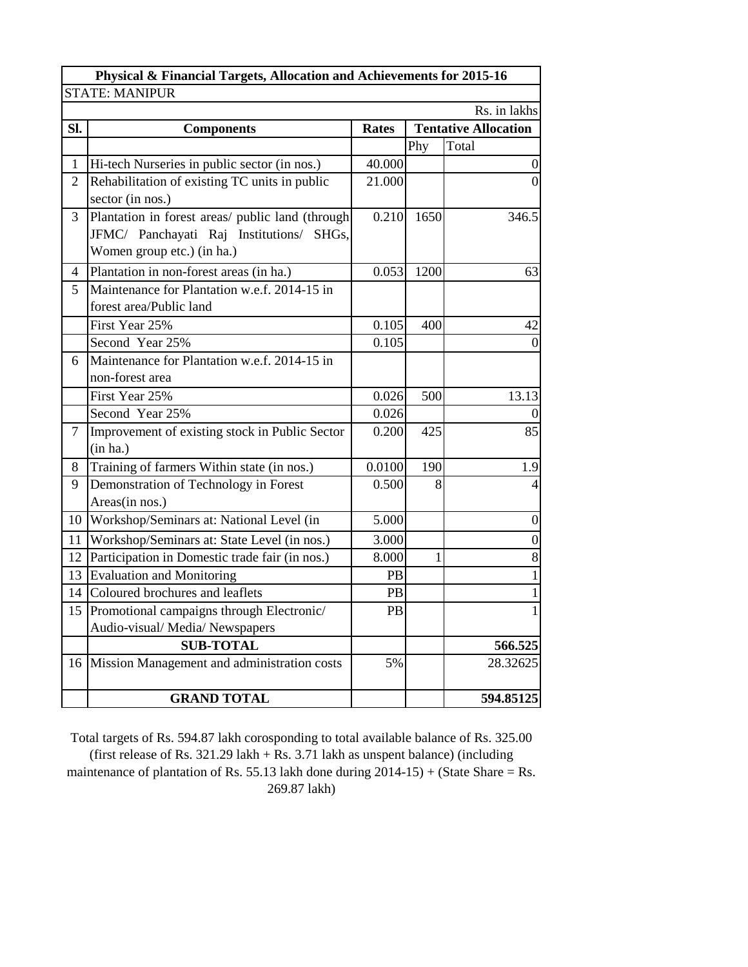|                | Physical & Financial Targets, Allocation and Achievements for 2015-16 |              |      |                             |  |  |  |  |
|----------------|-----------------------------------------------------------------------|--------------|------|-----------------------------|--|--|--|--|
|                | <b>STATE: MANIPUR</b>                                                 |              |      |                             |  |  |  |  |
|                |                                                                       |              |      | Rs. in lakhs                |  |  |  |  |
| Sl.            | <b>Components</b>                                                     | <b>Rates</b> |      | <b>Tentative Allocation</b> |  |  |  |  |
|                |                                                                       |              | Phy  | Total                       |  |  |  |  |
| 1              | Hi-tech Nurseries in public sector (in nos.)                          | 40.000       |      | 0                           |  |  |  |  |
| $\overline{2}$ | Rehabilitation of existing TC units in public                         | 21.000       |      | $\vert 0 \vert$             |  |  |  |  |
|                | sector (in nos.)                                                      |              |      |                             |  |  |  |  |
| 3              | Plantation in forest areas/ public land (through                      | 0.210        | 1650 | 346.5                       |  |  |  |  |
|                | JFMC/ Panchayati Raj Institutions/ SHGs,                              |              |      |                             |  |  |  |  |
|                | Women group etc.) (in ha.)                                            |              |      |                             |  |  |  |  |
| 4              | Plantation in non-forest areas (in ha.)                               | 0.053        | 1200 | 63                          |  |  |  |  |
| 5              | Maintenance for Plantation w.e.f. 2014-15 in                          |              |      |                             |  |  |  |  |
|                | forest area/Public land                                               |              |      |                             |  |  |  |  |
|                | First Year 25%                                                        | 0.105        | 400  | 42                          |  |  |  |  |
|                | Second Year 25%                                                       | 0.105        |      | $\theta$                    |  |  |  |  |
| 6              | Maintenance for Plantation w.e.f. 2014-15 in                          |              |      |                             |  |  |  |  |
|                | non-forest area                                                       |              |      |                             |  |  |  |  |
|                | First Year 25%                                                        | 0.026        | 500  | 13.13                       |  |  |  |  |
|                | Second Year 25%                                                       | 0.026        |      | $\theta$                    |  |  |  |  |
| $\overline{7}$ | Improvement of existing stock in Public Sector                        | 0.200        | 425  | 85                          |  |  |  |  |
|                | (in ha.)                                                              |              |      |                             |  |  |  |  |
| 8              | Training of farmers Within state (in nos.)                            | 0.0100       | 190  | 1.9                         |  |  |  |  |
| 9              | Demonstration of Technology in Forest                                 | 0.500        | 8    | 4                           |  |  |  |  |
|                | Areas(in nos.)                                                        |              |      |                             |  |  |  |  |
| 10             | Workshop/Seminars at: National Level (in                              | 5.000        |      | $\boldsymbol{0}$            |  |  |  |  |
| 11             | Workshop/Seminars at: State Level (in nos.)                           | 3.000        |      | $\boldsymbol{0}$            |  |  |  |  |
| 12             | Participation in Domestic trade fair (in nos.)                        | 8.000        |      | 8                           |  |  |  |  |
| 13             | <b>Evaluation and Monitoring</b>                                      | PB           |      | 1                           |  |  |  |  |
| 14             | Coloured brochures and leaflets                                       | PB           |      | 1                           |  |  |  |  |
|                | 15 Promotional campaigns through Electronic/                          | PB           |      | $\mathbf{1}$                |  |  |  |  |
|                | Audio-visual/Media/Newspapers                                         |              |      |                             |  |  |  |  |
|                | <b>SUB-TOTAL</b>                                                      |              |      | 566.525                     |  |  |  |  |
|                | 16 Mission Management and administration costs                        | 5%           |      | 28.32625                    |  |  |  |  |
|                |                                                                       |              |      |                             |  |  |  |  |
|                | <b>GRAND TOTAL</b>                                                    |              |      | 594.85125                   |  |  |  |  |

Total targets of Rs. 594.87 lakh corosponding to total available balance of Rs. 325.00 (first release of Rs. 321.29 lakh + Rs. 3.71 lakh as unspent balance) (including maintenance of plantation of Rs. 55.13 lakh done during 2014-15) + (State Share = Rs. 269.87 lakh)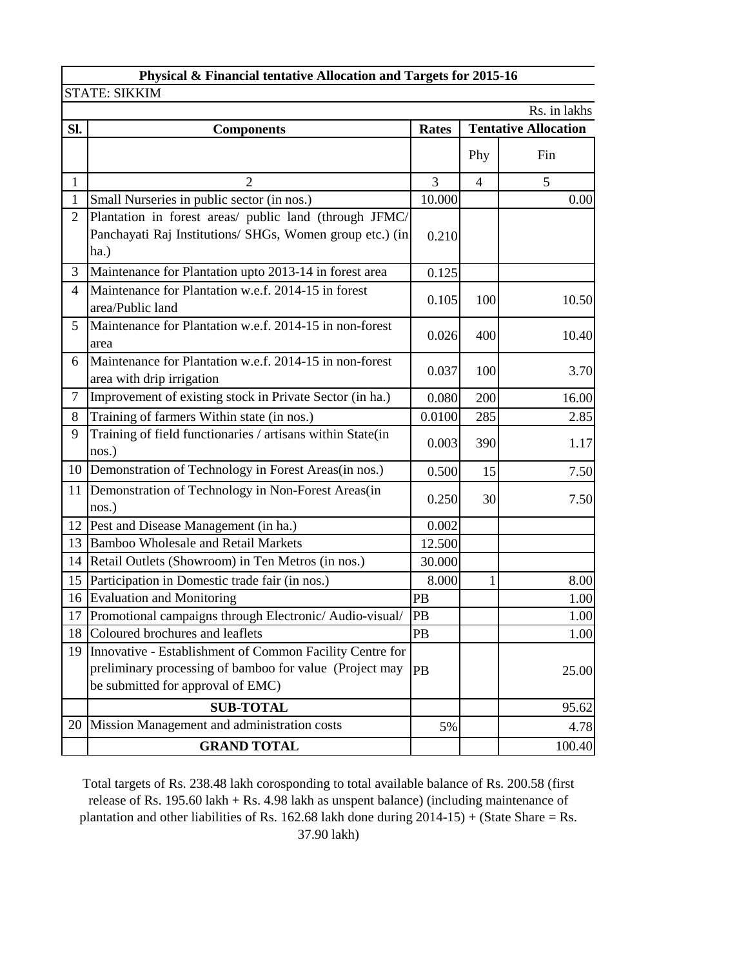|                | Physical & Financial tentative Allocation and Targets for 2015-16                                                                                        |              |                |                             |  |  |  |
|----------------|----------------------------------------------------------------------------------------------------------------------------------------------------------|--------------|----------------|-----------------------------|--|--|--|
|                | <b>STATE: SIKKIM</b>                                                                                                                                     |              |                |                             |  |  |  |
|                |                                                                                                                                                          |              |                | Rs. in lakhs                |  |  |  |
| Sl.            | <b>Components</b>                                                                                                                                        | <b>Rates</b> |                | <b>Tentative Allocation</b> |  |  |  |
|                |                                                                                                                                                          |              | Phy            | Fin                         |  |  |  |
| $\mathbf{1}$   | 2                                                                                                                                                        | 3            | $\overline{4}$ | 5                           |  |  |  |
| $\mathbf{1}$   | Small Nurseries in public sector (in nos.)                                                                                                               | 10.000       |                | 0.00                        |  |  |  |
| $\overline{2}$ | Plantation in forest areas/ public land (through JFMC/<br>Panchayati Raj Institutions/ SHGs, Women group etc.) (in<br>ha.)                               | 0.210        |                |                             |  |  |  |
| 3              | Maintenance for Plantation upto 2013-14 in forest area                                                                                                   | 0.125        |                |                             |  |  |  |
| 4              | Maintenance for Plantation w.e.f. 2014-15 in forest<br>area/Public land                                                                                  | 0.105        | 100            | 10.50                       |  |  |  |
| 5              | Maintenance for Plantation w.e.f. 2014-15 in non-forest<br>area                                                                                          | 0.026        | 400            | 10.40                       |  |  |  |
| 6              | Maintenance for Plantation w.e.f. 2014-15 in non-forest<br>area with drip irrigation                                                                     | 0.037        | 100            | 3.70                        |  |  |  |
| $\overline{7}$ | Improvement of existing stock in Private Sector (in ha.)                                                                                                 | 0.080        | 200            | 16.00                       |  |  |  |
| 8              | Training of farmers Within state (in nos.)                                                                                                               | 0.0100       | 285            | 2.85                        |  |  |  |
| 9              | Training of field functionaries / artisans within State(in<br>nos.)                                                                                      | 0.003        | 390            | 1.17                        |  |  |  |
| 10             | Demonstration of Technology in Forest Areas(in nos.)                                                                                                     | 0.500        | 15             | 7.50                        |  |  |  |
| 11             | Demonstration of Technology in Non-Forest Areas(in<br>nos.)                                                                                              | 0.250        | 30             | 7.50                        |  |  |  |
| 12             | Pest and Disease Management (in ha.)                                                                                                                     | 0.002        |                |                             |  |  |  |
| 13             | <b>Bamboo Wholesale and Retail Markets</b>                                                                                                               | 12.500       |                |                             |  |  |  |
| 14             | Retail Outlets (Showroom) in Ten Metros (in nos.)                                                                                                        | 30.000       |                |                             |  |  |  |
| 15             | Participation in Domestic trade fair (in nos.)                                                                                                           | 8.000        | 1              | 8.00                        |  |  |  |
| 16             | <b>Evaluation and Monitoring</b>                                                                                                                         | PB           |                | 1.00                        |  |  |  |
|                | 17 Promotional campaigns through Electronic/Audio-visual/                                                                                                | PB           |                | 1.00                        |  |  |  |
| 18             | Coloured brochures and leaflets                                                                                                                          | PB           |                | 1.00                        |  |  |  |
| 19             | Innovative - Establishment of Common Facility Centre for<br>preliminary processing of bamboo for value (Project may<br>be submitted for approval of EMC) | PB           |                | 25.00                       |  |  |  |
|                | <b>SUB-TOTAL</b>                                                                                                                                         |              |                | 95.62                       |  |  |  |
| 20             | Mission Management and administration costs                                                                                                              | 5%           |                | 4.78                        |  |  |  |
|                | <b>GRAND TOTAL</b>                                                                                                                                       |              |                | 100.40                      |  |  |  |

Total targets of Rs. 238.48 lakh corosponding to total available balance of Rs. 200.58 (first release of Rs. 195.60 lakh + Rs. 4.98 lakh as unspent balance) (including maintenance of plantation and other liabilities of Rs. 162.68 lakh done during 2014-15) + (State Share = Rs. 37.90 lakh)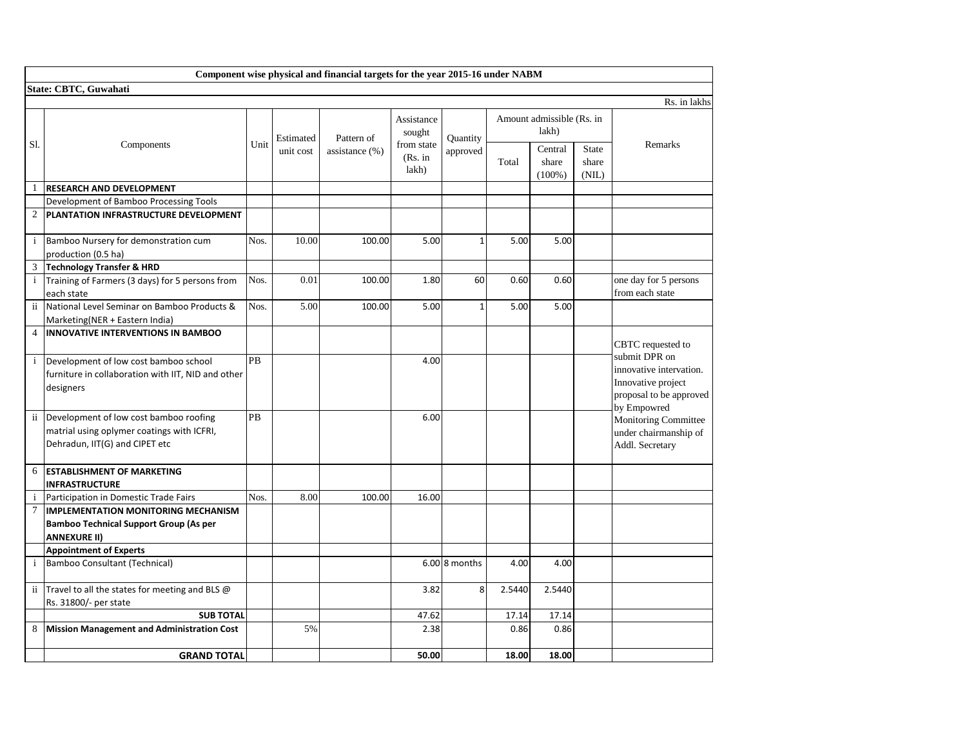|                | Component wise physical and financial targets for the year 2015-16 under NABM                                          |           |           |                |                                    |               |        |                                    |                                |                                                                                                          |
|----------------|------------------------------------------------------------------------------------------------------------------------|-----------|-----------|----------------|------------------------------------|---------------|--------|------------------------------------|--------------------------------|----------------------------------------------------------------------------------------------------------|
|                | State: CBTC, Guwahati                                                                                                  |           |           |                |                                    |               |        |                                    |                                |                                                                                                          |
|                |                                                                                                                        |           |           |                |                                    |               |        |                                    |                                | Rs. in lakhs                                                                                             |
| S1.            | Components                                                                                                             | Unit      | Estimated | Pattern of     | Assistance<br>sought<br>from state | Quantity      |        | Amount admissible (Rs. in<br>lakh) |                                | Remarks                                                                                                  |
|                |                                                                                                                        |           | unit cost | assistance (%) | (Rs. in<br>lakh)                   | approved      | Total  | Central<br>share<br>$(100\%)$      | <b>State</b><br>share<br>(NIL) |                                                                                                          |
| 1              | <b>RESEARCH AND DEVELOPMENT</b>                                                                                        |           |           |                |                                    |               |        |                                    |                                |                                                                                                          |
|                | Development of Bamboo Processing Tools                                                                                 |           |           |                |                                    |               |        |                                    |                                |                                                                                                          |
| $\overline{2}$ | PLANTATION INFRASTRUCTURE DEVELOPMENT                                                                                  |           |           |                |                                    |               |        |                                    |                                |                                                                                                          |
| $\mathbf{i}$   | Bamboo Nursery for demonstration cum<br>production (0.5 ha)                                                            | Nos.      | 10.00     | 100.00         | 5.00                               | 1             | 5.00   | 5.00                               |                                |                                                                                                          |
| 3              | <b>Technology Transfer &amp; HRD</b>                                                                                   |           |           |                |                                    |               |        |                                    |                                |                                                                                                          |
| $\mathbf{i}$   | Training of Farmers (3 days) for 5 persons from<br>each state                                                          | Nos.      | 0.01      | 100.00         | 1.80                               | 60            | 0.60   | 0.60                               |                                | one day for 5 persons<br>from each state                                                                 |
| ii.            | National Level Seminar on Bamboo Products &<br>Marketing(NER + Eastern India)                                          | Nos.      | 5.00      | 100.00         | 5.00                               | $\mathbf{1}$  | 5.00   | 5.00                               |                                |                                                                                                          |
| $\overline{4}$ | <b>INNOVATIVE INTERVENTIONS IN BAMBOO</b>                                                                              |           |           |                |                                    |               |        |                                    |                                | CBTC requested to                                                                                        |
| $\mathbf{i}$   | Development of low cost bamboo school<br>furniture in collaboration with IIT, NID and other<br>designers               | <b>PB</b> |           |                | 4.00                               |               |        |                                    |                                | submit DPR on<br>innovative intervation.<br>Innovative project<br>proposal to be approved<br>by Empowred |
| ii             | Development of low cost bamboo roofing<br>matrial using oplymer coatings with ICFRI,<br>Dehradun, IIT(G) and CIPET etc | PB        |           |                | 6.00                               |               |        |                                    |                                | <b>Monitoring Committee</b><br>under chairmanship of<br>Addl. Secretary                                  |
| 6              | <b>ESTABLISHMENT OF MARKETING</b><br><b>INFRASTRUCTURE</b>                                                             |           |           |                |                                    |               |        |                                    |                                |                                                                                                          |
| $\mathbf{i}$   | Participation in Domestic Trade Fairs                                                                                  | Nos.      | 8.00      | 100.00         | 16.00                              |               |        |                                    |                                |                                                                                                          |
| $\tau$         | <b>IMPLEMENTATION MONITORING MECHANISM</b><br><b>Bamboo Technical Support Group (As per</b><br><b>ANNEXURE II)</b>     |           |           |                |                                    |               |        |                                    |                                |                                                                                                          |
|                | <b>Appointment of Experts</b>                                                                                          |           |           |                |                                    |               |        |                                    |                                |                                                                                                          |
| $\mathbf{i}$   | Bamboo Consultant (Technical)                                                                                          |           |           |                |                                    | 6.00 8 months | 4.00   | 4.00                               |                                |                                                                                                          |
| $\mathbf{ii}$  | Travel to all the states for meeting and BLS @<br>Rs. 31800/- per state                                                |           |           |                | 3.82                               | 8             | 2.5440 | 2.5440                             |                                |                                                                                                          |
|                | <b>SUB TOTAL</b>                                                                                                       |           |           |                | 47.62                              |               | 17.14  | 17.14                              |                                |                                                                                                          |
| 8              | <b>Mission Management and Administration Cost</b>                                                                      |           | 5%        |                | 2.38                               |               | 0.86   | 0.86                               |                                |                                                                                                          |
|                | <b>GRAND TOTAL</b>                                                                                                     |           |           |                | 50.00                              |               | 18.00  | 18.00                              |                                |                                                                                                          |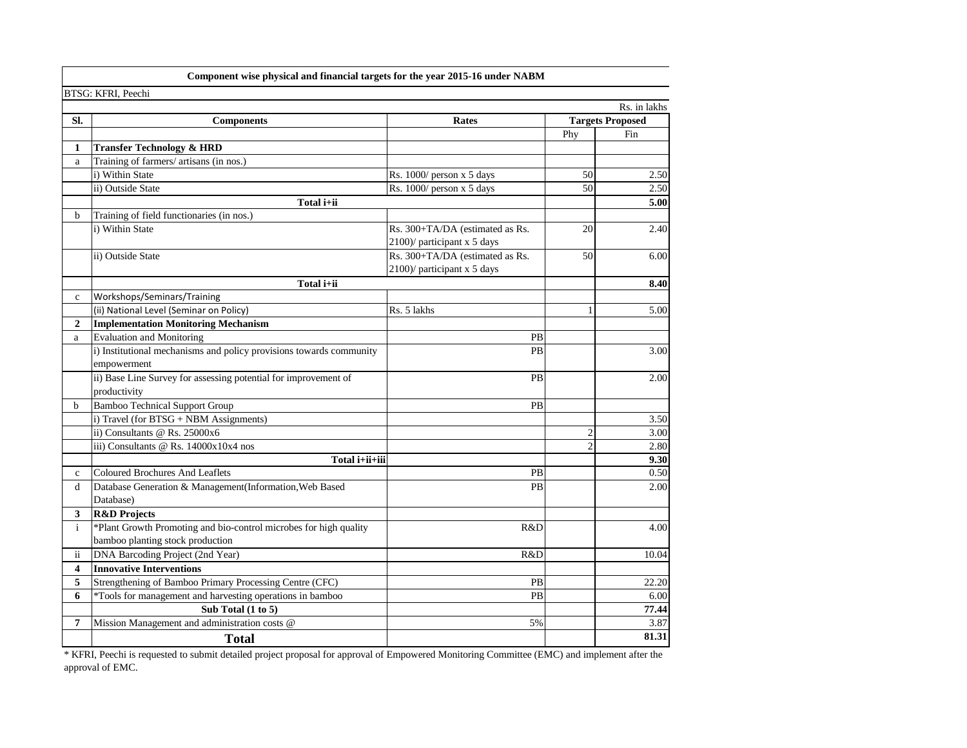|                         | Component wise physical and financial targets for the year 2015-16 under NABM |                                 |                |                         |
|-------------------------|-------------------------------------------------------------------------------|---------------------------------|----------------|-------------------------|
|                         | BTSG: KFRI, Peechi                                                            |                                 |                |                         |
|                         |                                                                               |                                 |                | Rs. in lakhs            |
| SI.                     | <b>Components</b>                                                             | Rates                           |                | <b>Targets Proposed</b> |
|                         |                                                                               |                                 | Phy            | Fin                     |
| 1                       | <b>Transfer Technology &amp; HRD</b>                                          |                                 |                |                         |
| a                       | Training of farmers/ artisans (in nos.)                                       |                                 |                |                         |
|                         | i) Within State                                                               | Rs. 1000/ person x 5 days       | 50             | 2.50                    |
|                         | ii) Outside State                                                             | Rs. 1000/ person x 5 days       | 50             | 2.50                    |
|                         | Total i+ii                                                                    |                                 |                | 5.00                    |
| b                       | Training of field functionaries (in nos.)                                     |                                 |                |                         |
|                         | i) Within State                                                               | Rs. 300+TA/DA (estimated as Rs. | 20             | 2.40                    |
|                         |                                                                               | 2100)/ participant x 5 days     |                |                         |
|                         | ii) Outside State                                                             | Rs. 300+TA/DA (estimated as Rs. | 50             | 6.00                    |
|                         |                                                                               | 2100)/ participant x 5 days     |                |                         |
|                         | Total i+ii                                                                    |                                 |                | 8.40                    |
| $\mathbf c$             | Workshops/Seminars/Training                                                   |                                 |                |                         |
|                         | (ii) National Level (Seminar on Policy)                                       | Rs. 5 lakhs                     |                | 5.00                    |
| $\overline{2}$          | <b>Implementation Monitoring Mechanism</b>                                    |                                 |                |                         |
| a                       | <b>Evaluation and Monitoring</b>                                              | PB                              |                |                         |
|                         | i) Institutional mechanisms and policy provisions towards community           | PB                              |                | 3.00                    |
|                         | empowerment                                                                   |                                 |                |                         |
|                         | ii) Base Line Survey for assessing potential for improvement of               | PB                              |                | 2.00                    |
|                         | productivity                                                                  |                                 |                |                         |
| b                       | <b>Bamboo Technical Support Group</b>                                         | PB                              |                |                         |
|                         | i) Travel (for BTSG + NBM Assignments)                                        |                                 |                | 3.50                    |
|                         | ii) Consultants @ Rs. 25000x6                                                 |                                 | $\overline{2}$ | 3.00                    |
|                         | iii) Consultants @ Rs. 14000x10x4 nos                                         |                                 | $\mathfrak{D}$ | 2.80                    |
|                         | Total i+ii+iii                                                                |                                 |                | 9.30                    |
| $\mathbf{c}$            | <b>Coloured Brochures And Leaflets</b>                                        | PB                              |                | 0.50                    |
| d                       | Database Generation & Management(Information, Web Based                       | PB                              |                | 2.00                    |
|                         | Database)                                                                     |                                 |                |                         |
| 3                       | <b>R&amp;D</b> Projects                                                       |                                 |                |                         |
| $\mathbf{i}$            | *Plant Growth Promoting and bio-control microbes for high quality             | R&D                             |                | 4.00                    |
|                         | bamboo planting stock production                                              |                                 |                |                         |
| ii                      | DNA Barcoding Project (2nd Year)                                              | R&D                             |                | 10.04                   |
| $\overline{\mathbf{4}}$ | <b>Innovative Interventions</b>                                               |                                 |                |                         |
| 5                       | Strengthening of Bamboo Primary Processing Centre (CFC)                       | PB                              |                | 22.20                   |
| 6                       | *Tools for management and harvesting operations in bamboo                     | PB                              |                | 6.00                    |
|                         | Sub Total (1 to 5)                                                            |                                 |                | 77.44                   |
| 7                       | Mission Management and administration costs @                                 | 5%                              |                | 3.87                    |
|                         | <b>Total</b>                                                                  |                                 |                | 81.31                   |

\* KFRI, Peechi is requested to submit detailed project proposal for approval of Empowered Monitoring Committee (EMC) and implement after the approval of EMC.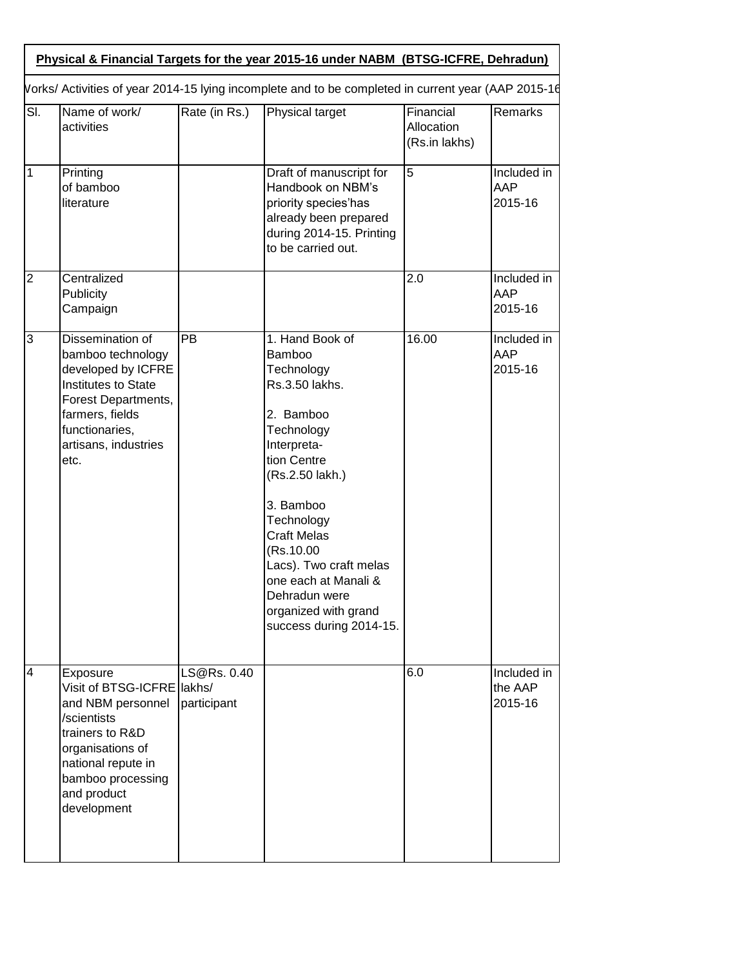|                          | Vorks/ Activities of year 2014-15 lying incomplete and to be completed in current year (AAP 2015-16                                                                                        |                            |                                                                                                                                                                                                                                                                                                                                  |                                          |                                   |
|--------------------------|--------------------------------------------------------------------------------------------------------------------------------------------------------------------------------------------|----------------------------|----------------------------------------------------------------------------------------------------------------------------------------------------------------------------------------------------------------------------------------------------------------------------------------------------------------------------------|------------------------------------------|-----------------------------------|
| $\overline{\mathsf{SI}}$ | Name of work/<br>activities                                                                                                                                                                | Rate (in Rs.)              | Physical target                                                                                                                                                                                                                                                                                                                  | Financial<br>Allocation<br>(Rs.in lakhs) | Remarks                           |
| $\mathbf 1$              | Printing<br>of bamboo<br>literature                                                                                                                                                        |                            | Draft of manuscript for<br>Handbook on NBM's<br>priority species'has<br>already been prepared<br>during 2014-15. Printing<br>to be carried out.                                                                                                                                                                                  | $\overline{5}$                           | Included in<br>AAP<br>2015-16     |
| $\overline{2}$           | Centralized<br>Publicity<br>Campaign                                                                                                                                                       |                            |                                                                                                                                                                                                                                                                                                                                  | 2.0                                      | Included in<br>AAP<br>2015-16     |
| 3                        | Dissemination of<br>bamboo technology<br>developed by ICFRE<br>Institutes to State<br>Forest Departments,<br>farmers, fields<br>functionaries,<br>artisans, industries<br>etc.             | PB                         | 1. Hand Book of<br><b>Bamboo</b><br>Technology<br>Rs.3.50 lakhs.<br>2. Bamboo<br>Technology<br>Interpreta-<br>tion Centre<br>(Rs.2.50 lakh.)<br>3. Bamboo<br>Technology<br><b>Craft Melas</b><br>(Rs.10.00<br>Lacs). Two craft melas<br>one each at Manali &<br>Dehradun were<br>organized with grand<br>success during 2014-15. | 16.00                                    | Included in<br>AAP<br>2015-16     |
| 4                        | Exposure<br>Visit of BTSG-ICFRE lakhs/<br>and NBM personnel<br>/scientists<br>trainers to R&D<br>organisations of<br>national repute in<br>bamboo processing<br>and product<br>development | LS@Rs. 0.40<br>participant |                                                                                                                                                                                                                                                                                                                                  | 6.0                                      | Included in<br>the AAP<br>2015-16 |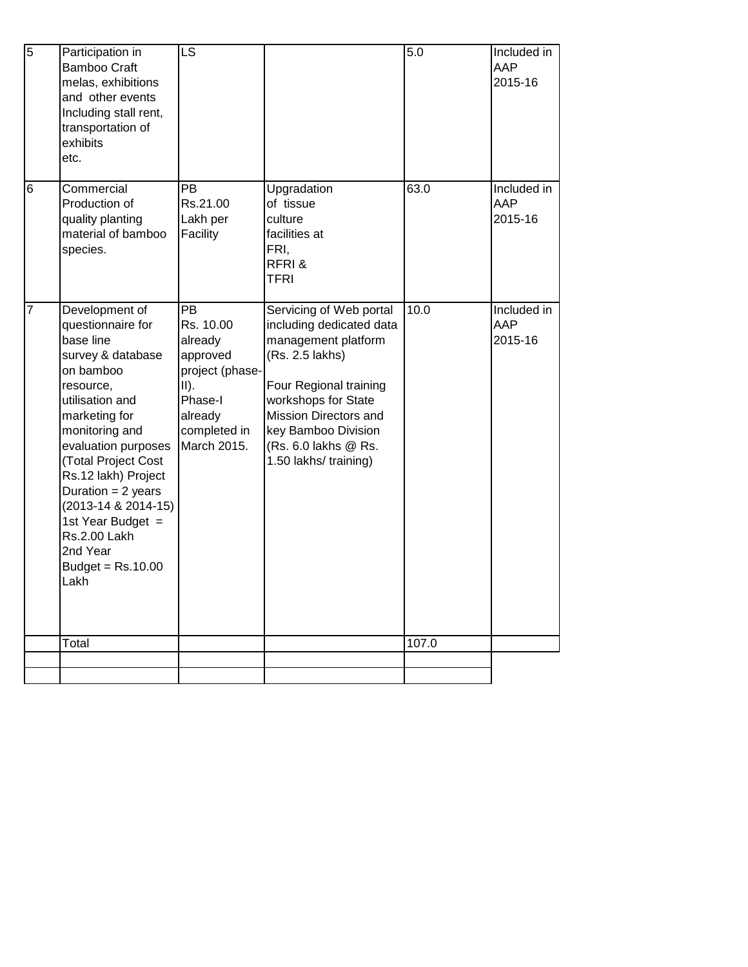| $\overline{5}$ | Participation in<br><b>Bamboo Craft</b><br>melas, exhibitions<br>and other events<br>Including stall rent,<br>transportation of<br>exhibits<br>etc.                                                                                                                                                                                                                | $\overline{\mathsf{LS}}$                                                                                                               |                                                                                                                                                                                                                                                 | $\overline{5.0}$ | Included in<br>AAP<br>2015-16 |
|----------------|--------------------------------------------------------------------------------------------------------------------------------------------------------------------------------------------------------------------------------------------------------------------------------------------------------------------------------------------------------------------|----------------------------------------------------------------------------------------------------------------------------------------|-------------------------------------------------------------------------------------------------------------------------------------------------------------------------------------------------------------------------------------------------|------------------|-------------------------------|
| 6              | Commercial<br>Production of<br>quality planting<br>material of bamboo<br>species.                                                                                                                                                                                                                                                                                  | PB.<br>Rs.21.00<br>Lakh per<br>Facility                                                                                                | Upgradation<br>of tissue<br>culture<br>facilities at<br>FRI,<br>RFRI&<br><b>TFRI</b>                                                                                                                                                            | 63.0             | Included in<br>AAP<br>2015-16 |
| 7              | Development of<br>questionnaire for<br>base line<br>survey & database<br>on bamboo<br>resource,<br>utilisation and<br>marketing for<br>monitoring and<br>evaluation purposes<br>(Total Project Cost<br>Rs.12 lakh) Project<br>Duration = $2$ years<br>(2013-14 & 2014-15)<br>1st Year Budget $=$<br><b>Rs.2.00 Lakh</b><br>2nd Year<br>Budget = $Rs.10.00$<br>Lakh | $\overline{PB}$<br>Rs. 10.00<br>already<br>approved<br>project (phase-<br>$II$ ).<br>Phase-I<br>already<br>completed in<br>March 2015. | Servicing of Web portal<br>including dedicated data<br>management platform<br>(Rs. 2.5 lakhs)<br>Four Regional training<br>workshops for State<br>Mission Directors and<br>key Bamboo Division<br>(Rs. 6.0 lakhs @ Rs.<br>1.50 lakhs/ training) | 10.0             | Included in<br>AAP<br>2015-16 |
|                | Total                                                                                                                                                                                                                                                                                                                                                              |                                                                                                                                        |                                                                                                                                                                                                                                                 | 107.0            |                               |
|                |                                                                                                                                                                                                                                                                                                                                                                    |                                                                                                                                        |                                                                                                                                                                                                                                                 |                  |                               |